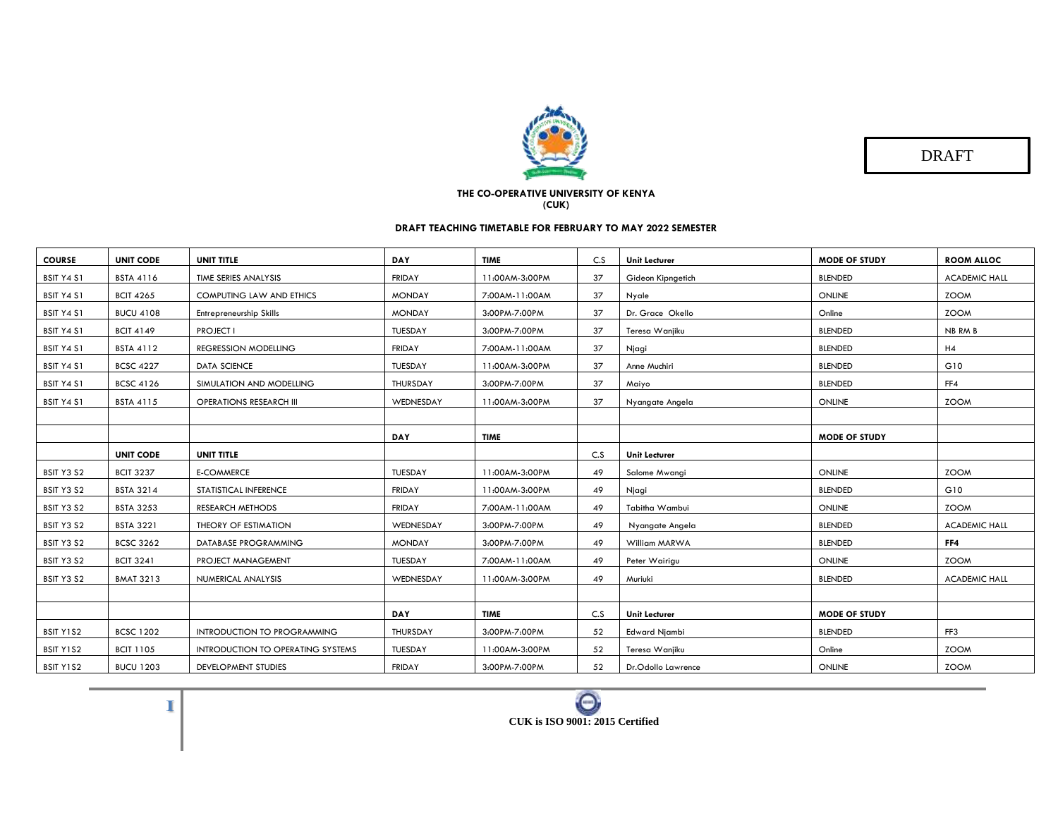

DRAFT

## **THE CO-OPERATIVE UNIVERSITY OF KENYA (CUK)**

## **DRAFT TEACHING TIMETABLE FOR FEBRUARY TO MAY 2022 SEMESTER**

| <b>COURSE</b> | <b>UNIT CODE</b> | UNIT TITLE                        | <b>DAY</b>     | <b>TIME</b>    | C.S | <b>Unit Lecturer</b> | <b>MODE OF STUDY</b> | <b>ROOM ALLOC</b>    |
|---------------|------------------|-----------------------------------|----------------|----------------|-----|----------------------|----------------------|----------------------|
| BSIT Y4 S1    | <b>BSTA 4116</b> | TIME SERIES ANALYSIS              | <b>FRIDAY</b>  | 11:00AM-3:00PM | 37  | Gideon Kipngetich    | <b>BLENDED</b>       | <b>ACADEMIC HALL</b> |
| BSIT Y4 S1    | <b>BCIT 4265</b> | <b>COMPUTING LAW AND ETHICS</b>   | <b>MONDAY</b>  | 7:00AM-11:00AM | 37  | Nyale                | ONLINE               | <b>ZOOM</b>          |
| BSIT Y4 S1    | <b>BUCU 4108</b> | Entrepreneurship Skills           | <b>MONDAY</b>  | 3:00PM-7:00PM  | 37  | Dr. Grace Okello     | Online               | <b>ZOOM</b>          |
| BSIT Y4 S1    | <b>BCIT 4149</b> | <b>PROJECT I</b>                  | TUESDAY        | 3:00PM-7:00PM  | 37  | Teresa Wanjiku       | <b>BLENDED</b>       | NB RM B              |
| BSIT Y4 S1    | <b>BSTA 4112</b> | REGRESSION MODELLING              | FRIDAY         | 7:00AM-11:00AM | 37  | Njagi                | <b>BLENDED</b>       | H4                   |
| BSIT Y4 S1    | <b>BCSC 4227</b> | <b>DATA SCIENCE</b>               | TUESDAY        | 11:00AM-3:00PM | 37  | Anne Muchiri         | <b>BLENDED</b>       | G10                  |
| BSIT Y4 S1    | <b>BCSC 4126</b> | SIMULATION AND MODELLING          | THURSDAY       | 3:00PM-7:00PM  | 37  | Maiyo                | <b>BLENDED</b>       | FF4                  |
| BSIT Y4 S1    | <b>BSTA 4115</b> | <b>OPERATIONS RESEARCH III</b>    | WEDNESDAY      | 11:00AM-3:00PM | 37  | Nyangate Angela      | ONLINE               | <b>ZOOM</b>          |
|               |                  |                                   |                |                |     |                      |                      |                      |
|               |                  |                                   | DAY            | <b>TIME</b>    |     |                      | <b>MODE OF STUDY</b> |                      |
|               | <b>UNIT CODE</b> | UNIT TITLE                        |                |                | C.S | <b>Unit Lecturer</b> |                      |                      |
| BSIT Y3 S2    | <b>BCIT 3237</b> | <b>E-COMMERCE</b>                 | <b>TUESDAY</b> | 11:00AM-3:00PM | 49  | Salome Mwangi        | ONLINE               | <b>ZOOM</b>          |
| BSIT Y3 S2    | <b>BSTA 3214</b> | STATISTICAL INFERENCE             | FRIDAY         | 11:00AM-3:00PM | 49  | Njagi                | <b>BLENDED</b>       | G10                  |
| BSIT Y3 S2    | <b>BSTA 3253</b> | <b>RESEARCH METHODS</b>           | FRIDAY         | 7:00AM-11:00AM | 49  | Tabitha Wambui       | ONLINE               | <b>ZOOM</b>          |
| BSIT Y3 S2    | <b>BSTA 3221</b> | THEORY OF ESTIMATION              | WEDNESDAY      | 3:00PM-7:00PM  | 49  | Nyangate Angela      | <b>BLENDED</b>       | <b>ACADEMIC HALL</b> |
| BSIT Y3 S2    | <b>BCSC 3262</b> | DATABASE PROGRAMMING              | <b>MONDAY</b>  | 3:00PM-7:00PM  | 49  | William MARWA        | <b>BLENDED</b>       | FF4                  |
| BSIT Y3 S2    | <b>BCIT 3241</b> | PROJECT MANAGEMENT                | TUESDAY        | 7:00AM-11:00AM | 49  | Peter Wairigu        | ONLINE               | <b>ZOOM</b>          |
| BSIT Y3 S2    | <b>BMAT 3213</b> | NUMERICAL ANALYSIS                | WEDNESDAY      | 11:00AM-3:00PM | 49  | Muriuki              | <b>BLENDED</b>       | <b>ACADEMIC HALL</b> |
|               |                  |                                   |                |                |     |                      |                      |                      |
|               |                  |                                   | <b>DAY</b>     | <b>TIME</b>    | C.S | <b>Unit Lecturer</b> | <b>MODE OF STUDY</b> |                      |
| BSIT Y1S2     | <b>BCSC 1202</b> | INTRODUCTION TO PROGRAMMING       | THURSDAY       | 3:00PM-7:00PM  | 52  | <b>Edward Njambi</b> | <b>BLENDED</b>       | FF3                  |
| BSIT Y1S2     | <b>BCIT 1105</b> | INTRODUCTION TO OPERATING SYSTEMS | TUESDAY        | 11:00AM-3:00PM | 52  | Teresa Wanjiku       | Online               | <b>ZOOM</b>          |
| BSIT Y1S2     | <b>BUCU 1203</b> | <b>DEVELOPMENT STUDIES</b>        | FRIDAY         | 3:00PM-7:00PM  | 52  | Dr.Odollo Lawrence   | ONLINE               | <b>ZOOM</b>          |

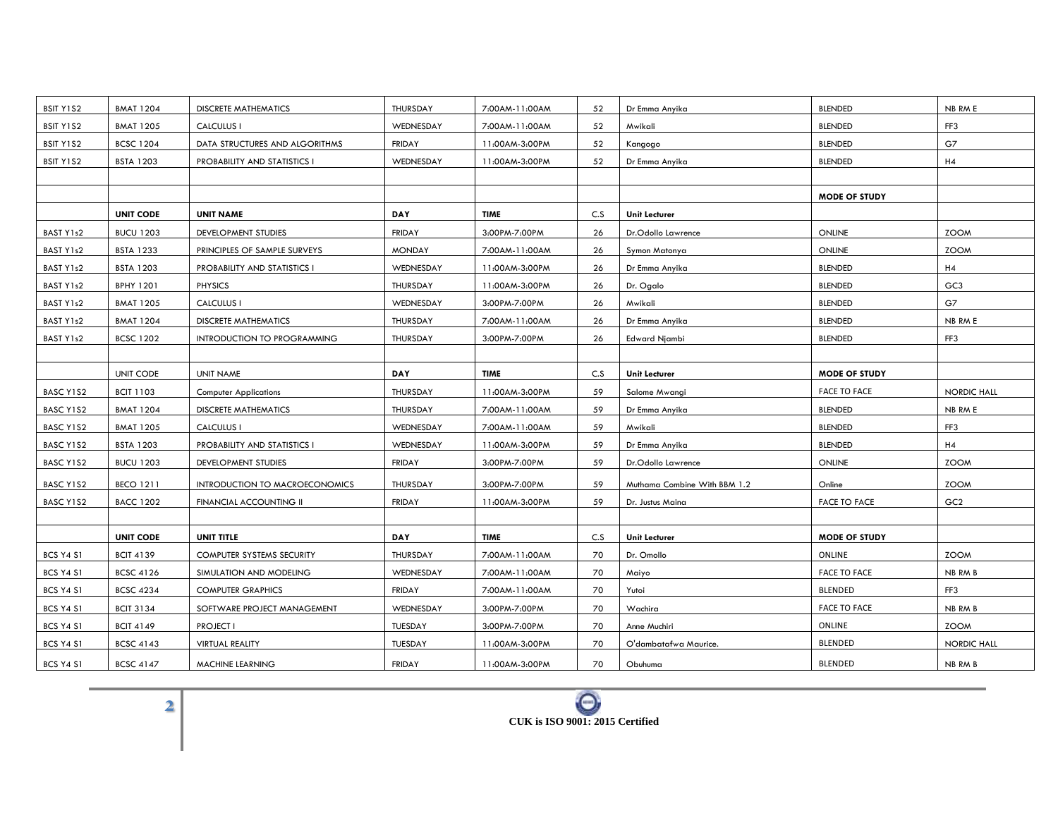| BSIT Y1S2        | <b>BMAT 1204</b> | <b>DISCRETE MATHEMATICS</b>        | THURSDAY      | 7:00AM-11:00AM | 52  | Dr Emma Anyika               | <b>BLENDED</b>       | NB RM E            |
|------------------|------------------|------------------------------------|---------------|----------------|-----|------------------------------|----------------------|--------------------|
| BSIT Y1S2        | <b>BMAT 1205</b> | CALCULUS I                         | WEDNESDAY     | 7:00AM-11:00AM | 52  | Mwikali                      | <b>BLENDED</b>       | FF3                |
| BSIT Y1S2        | <b>BCSC 1204</b> | DATA STRUCTURES AND ALGORITHMS     | <b>FRIDAY</b> | 11:00AM-3:00PM | 52  | Kangogo                      | <b>BLENDED</b>       | G7                 |
| BSIT Y1S2        | <b>BSTA 1203</b> | PROBABILITY AND STATISTICS I       | WEDNESDAY     | 11:00AM-3:00PM | 52  | Dr Emma Anyika               | <b>BLENDED</b>       | H4                 |
|                  |                  |                                    |               |                |     |                              |                      |                    |
|                  |                  |                                    |               |                |     |                              | <b>MODE OF STUDY</b> |                    |
|                  | <b>UNIT CODE</b> | <b>UNIT NAME</b>                   | <b>DAY</b>    | <b>TIME</b>    | C.S | <b>Unit Lecturer</b>         |                      |                    |
| BAST Y1s2        | <b>BUCU 1203</b> | DEVELOPMENT STUDIES                | FRIDAY        | 3:00PM-7:00PM  | 26  | Dr.Odollo Lawrence           | ONLINE               | <b>ZOOM</b>        |
| BAST Y1s2        | <b>BSTA 1233</b> | PRINCIPLES OF SAMPLE SURVEYS       | <b>MONDAY</b> | 7:00AM-11:00AM | 26  | Symon Matonya                | <b>ONLINE</b>        | <b>ZOOM</b>        |
| BAST Y1s2        | <b>BSTA 1203</b> | PROBABILITY AND STATISTICS I       | WEDNESDAY     | 11:00AM-3:00PM | 26  | Dr Emma Anyika               | <b>BLENDED</b>       | H4                 |
| BAST Y1s2        | <b>BPHY 1201</b> | <b>PHYSICS</b>                     | THURSDAY      | 11:00AM-3:00PM | 26  | Dr. Ogalo                    | <b>BLENDED</b>       | GC <sub>3</sub>    |
| BAST Y1s2        | <b>BMAT 1205</b> | <b>CALCULUS I</b>                  | WEDNESDAY     | 3:00PM-7:00PM  | 26  | Mwikali                      | <b>BLENDED</b>       | G7                 |
| BAST Y1s2        | <b>BMAT 1204</b> | <b>DISCRETE MATHEMATICS</b>        | THURSDAY      | 7:00AM-11:00AM | 26  | Dr Emma Anyika               | <b>BLENDED</b>       | NB RM E            |
| BAST Y1s2        | <b>BCSC 1202</b> | <b>INTRODUCTION TO PROGRAMMING</b> | THURSDAY      | 3:00PM-7:00PM  | 26  | Edward Njambi                | <b>BLENDED</b>       | FF3                |
|                  |                  |                                    |               |                |     |                              |                      |                    |
|                  | UNIT CODE        | UNIT NAME                          | <b>DAY</b>    | <b>TIME</b>    | C.S | <b>Unit Lecturer</b>         | <b>MODE OF STUDY</b> |                    |
| BASC Y1S2        | <b>BCIT 1103</b> | <b>Computer Applications</b>       | THURSDAY      | 11:00AM-3:00PM | 59  | Salome Mwangi                | <b>FACE TO FACE</b>  | NORDIC HALL        |
| BASC Y1S2        | <b>BMAT 1204</b> | <b>DISCRETE MATHEMATICS</b>        | THURSDAY      | 7:00AM-11:00AM | 59  | Dr Emma Anyika               | <b>BLENDED</b>       | NB RM E            |
| BASC Y1S2        | <b>BMAT 1205</b> | CALCULUS I                         | WEDNESDAY     | 7:00AM-11:00AM | 59  | Mwikali                      | <b>BLENDED</b>       | FF3                |
| BASC Y1S2        | <b>BSTA 1203</b> | PROBABILITY AND STATISTICS I       | WEDNESDAY     | 11:00AM-3:00PM | 59  | Dr Emma Anyika               | <b>BLENDED</b>       | H4                 |
| BASC Y1S2        | <b>BUCU 1203</b> | DEVELOPMENT STUDIES                | FRIDAY        | 3:00PM-7:00PM  | 59  | Dr.Odollo Lawrence           | ONLINE               | <b>ZOOM</b>        |
| BASC Y1S2        | <b>BECO 1211</b> | INTRODUCTION TO MACROECONOMICS     | THURSDAY      | 3:00PM-7:00PM  | 59  | Muthama Combine With BBM 1.2 | Online               | <b>ZOOM</b>        |
| BASC Y1S2        | <b>BACC 1202</b> | FINANCIAL ACCOUNTING II            | <b>FRIDAY</b> | 11:00AM-3:00PM | 59  | Dr. Justus Maina             | <b>FACE TO FACE</b>  | GC <sub>2</sub>    |
|                  |                  |                                    |               |                |     |                              |                      |                    |
|                  | <b>UNIT CODE</b> | UNIT TITLE                         | <b>DAY</b>    | <b>TIME</b>    | C.S | <b>Unit Lecturer</b>         | <b>MODE OF STUDY</b> |                    |
| <b>BCS Y4 S1</b> | <b>BCIT 4139</b> | COMPUTER SYSTEMS SECURITY          | THURSDAY      | 7:00AM-11:00AM | 70  | Dr. Omollo                   | ONLINE               | <b>ZOOM</b>        |
| <b>BCS Y4 S1</b> | <b>BCSC 4126</b> | SIMULATION AND MODELING            | WEDNESDAY     | 7:00AM-11:00AM | 70  | Maiyo                        | <b>FACE TO FACE</b>  | NB RM B            |
| <b>BCS Y4 S1</b> | <b>BCSC 4234</b> | <b>COMPUTER GRAPHICS</b>           | <b>FRIDAY</b> | 7:00AM-11:00AM | 70  | Yutoi                        | <b>BLENDED</b>       | FF3                |
| BCS Y4 S1        | <b>BCIT 3134</b> | SOFTWARE PROJECT MANAGEMENT        | WEDNESDAY     | 3:00PM-7:00PM  | 70  | Wachira                      | <b>FACE TO FACE</b>  | NB RM B            |
| <b>BCS Y4 S1</b> | <b>BCIT 4149</b> | <b>PROJECT I</b>                   | TUESDAY       | 3:00PM-7:00PM  | 70  | Anne Muchiri                 | ONLINE               | <b>ZOOM</b>        |
| <b>BCS Y4 S1</b> | <b>BCSC 4143</b> | VIRTUAL REALITY                    | TUESDAY       | 11:00AM-3:00PM | 70  | O'dambatafwa Maurice.        | <b>BLENDED</b>       | <b>NORDIC HALL</b> |
| BCS Y4 S1        | <b>BCSC 4147</b> | MACHINE LEARNING                   | <b>FRIDAY</b> | 11:00AM-3:00PM | 70  | Obuhuma                      | BLENDED              | NB RM B            |

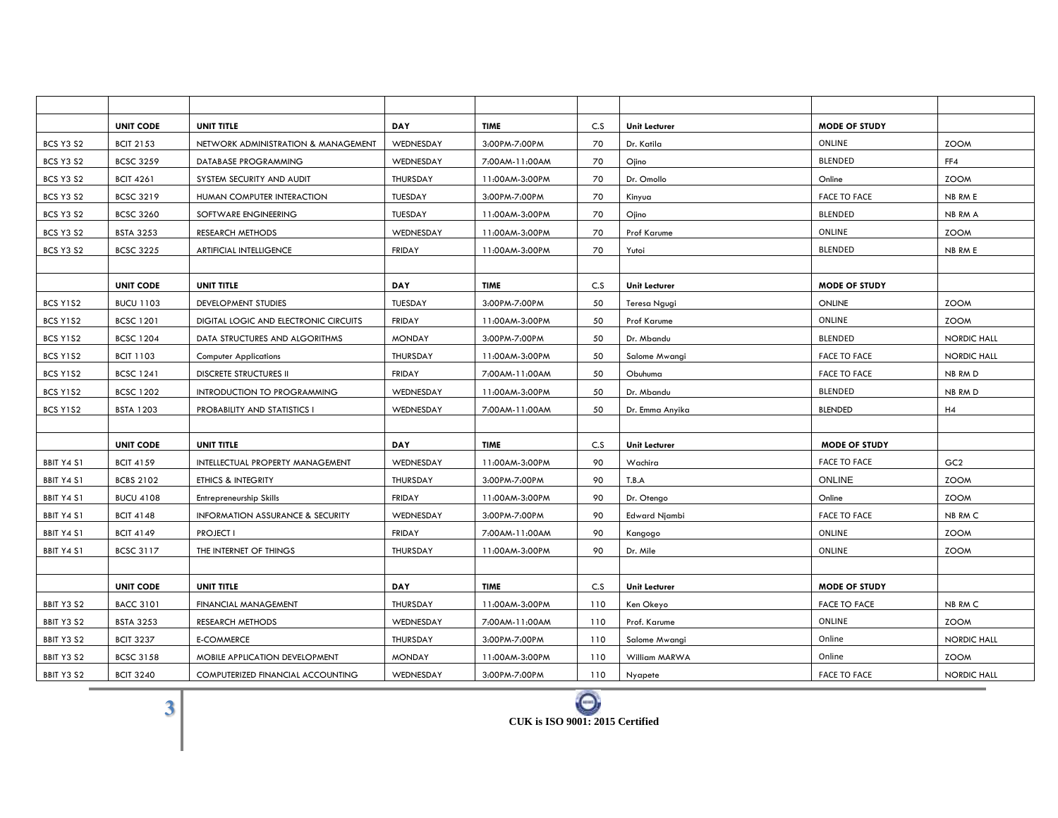|                   | <b>UNIT CODE</b> | UNIT TITLE                            | <b>DAY</b>    | <b>TIME</b>    | C.S | <b>Unit Lecturer</b> | <b>MODE OF STUDY</b> |                    |
|-------------------|------------------|---------------------------------------|---------------|----------------|-----|----------------------|----------------------|--------------------|
| <b>BCS Y3 S2</b>  | <b>BCIT 2153</b> | NETWORK ADMINISTRATION & MANAGEMENT   | WEDNESDAY     | 3:00PM-7:00PM  | 70  | Dr. Katila           | ONLINE               | <b>ZOOM</b>        |
| <b>BCS Y3 S2</b>  | <b>BCSC 3259</b> | DATABASE PROGRAMMING                  | WEDNESDAY     | 7:00AM-11:00AM | 70  | Ojino                | <b>BLENDED</b>       | FF4                |
| <b>BCS Y3 S2</b>  | <b>BCIT 4261</b> | SYSTEM SECURITY AND AUDIT             | THURSDAY      | 11:00AM-3:00PM | 70  | Dr. Omollo           | Online               | <b>ZOOM</b>        |
| <b>BCS Y3 S2</b>  | <b>BCSC 3219</b> | HUMAN COMPUTER INTERACTION            | TUESDAY       | 3:00PM-7:00PM  | 70  | Kinyua               | <b>FACE TO FACE</b>  | NB RM E            |
| <b>BCS Y3 S2</b>  | <b>BCSC 3260</b> | SOFTWARE ENGINEERING                  | TUESDAY       | 11:00AM-3:00PM | 70  | Ojino                | <b>BLENDED</b>       | NB RM A            |
| <b>BCS Y3 S2</b>  | <b>BSTA 3253</b> | <b>RESEARCH METHODS</b>               | WEDNESDAY     | 11:00AM-3:00PM | 70  | Prof Karume          | ONLINE               | <b>ZOOM</b>        |
| <b>BCS Y3 S2</b>  | <b>BCSC 3225</b> | ARTIFICIAL INTELLIGENCE               | <b>FRIDAY</b> | 11:00AM-3:00PM | 70  | Yutoi                | <b>BLENDED</b>       | NB RM E            |
|                   |                  |                                       |               |                |     |                      |                      |                    |
|                   | <b>UNIT CODE</b> | UNIT TITLE                            | DAY           | <b>TIME</b>    | C.S | <b>Unit Lecturer</b> | <b>MODE OF STUDY</b> |                    |
| BCS Y1S2          | <b>BUCU 1103</b> | DEVELOPMENT STUDIES                   | TUESDAY       | 3:00PM-7:00PM  | 50  | Teresa Ngugi         | <b>ONLINE</b>        | <b>ZOOM</b>        |
| BCS Y1S2          | <b>BCSC 1201</b> | DIGITAL LOGIC AND ELECTRONIC CIRCUITS | <b>FRIDAY</b> | 11:00AM-3:00PM | 50  | Prof Karume          | ONLINE               | <b>ZOOM</b>        |
| BCS Y1S2          | <b>BCSC 1204</b> | DATA STRUCTURES AND ALGORITHMS        | <b>MONDAY</b> | 3:00PM-7:00PM  | 50  | Dr. Mbandu           | BLENDED              | <b>NORDIC HALL</b> |
| BCS Y1S2          | <b>BCIT 1103</b> | <b>Computer Applications</b>          | THURSDAY      | 11:00AM-3:00PM | 50  | Salome Mwangi        | <b>FACE TO FACE</b>  | <b>NORDIC HALL</b> |
| BCS Y1S2          | <b>BCSC 1241</b> | <b>DISCRETE STRUCTURES II</b>         | <b>FRIDAY</b> | 7:00AM-11:00AM | 50  | Obuhuma              | <b>FACE TO FACE</b>  | NB RM D            |
| BCS Y1S2          | <b>BCSC 1202</b> | INTRODUCTION TO PROGRAMMING           | WEDNESDAY     | 11:00AM-3:00PM | 50  | Dr. Mbandu           | BLENDED              | NB RM D            |
| BCS Y1S2          | <b>BSTA 1203</b> | PROBABILITY AND STATISTICS I          | WEDNESDAY     | 7:00AM-11:00AM | 50  | Dr. Emma Anyika      | <b>BLENDED</b>       | H4                 |
|                   |                  |                                       |               |                |     |                      |                      |                    |
|                   | <b>UNIT CODE</b> | UNIT TITLE                            | <b>DAY</b>    | <b>TIME</b>    | C.S | <b>Unit Lecturer</b> | <b>MODE OF STUDY</b> |                    |
| <b>BBIT Y4 S1</b> | <b>BCIT 4159</b> | INTELLECTUAL PROPERTY MANAGEMENT      | WEDNESDAY     | 11:00AM-3:00PM | 90  | Wachira              | <b>FACE TO FACE</b>  | GC <sub>2</sub>    |
| <b>BBIT Y4 S1</b> | <b>BCBS 2102</b> | ETHICS & INTEGRITY                    | THURSDAY      | 3:00PM-7:00PM  | 90  | T.B.A                | <b>ONLINE</b>        | <b>ZOOM</b>        |
| BBIT Y4 S1        | <b>BUCU 4108</b> | Entrepreneurship Skills               | <b>FRIDAY</b> | 11:00AM-3:00PM | 90  | Dr. Otengo           | Online               | <b>ZOOM</b>        |
| <b>BBIT Y4 S1</b> | <b>BCIT 4148</b> | INFORMATION ASSURANCE & SECURITY      | WEDNESDAY     | 3:00PM-7:00PM  | 90  | <b>Edward Njambi</b> | <b>FACE TO FACE</b>  | NB RM C            |
| BBIT Y4 S1        | <b>BCIT 4149</b> | <b>PROJECT I</b>                      | <b>FRIDAY</b> | 7:00AM-11:00AM | 90  | Kangogo              | ONLINE               | <b>ZOOM</b>        |
| BBIT Y4 S1        | <b>BCSC 3117</b> | THE INTERNET OF THINGS                | THURSDAY      | 11:00AM-3:00PM | 90  | Dr. Mile             | ONLINE               | <b>ZOOM</b>        |
|                   |                  |                                       |               |                |     |                      |                      |                    |
|                   | <b>UNIT CODE</b> | UNIT TITLE                            | <b>DAY</b>    | <b>TIME</b>    | C.S | <b>Unit Lecturer</b> | <b>MODE OF STUDY</b> |                    |
| BBIT Y3 S2        | <b>BACC 3101</b> | <b>FINANCIAL MANAGEMENT</b>           | THURSDAY      | 11:00AM-3:00PM | 110 | Ken Okeyo            | <b>FACE TO FACE</b>  | NB RM C            |
| BBIT Y3 S2        | <b>BSTA 3253</b> | RESEARCH METHODS                      | WEDNESDAY     | 7:00AM-11:00AM | 110 | Prof. Karume         | ONLINE               | <b>ZOOM</b>        |
| BBIT Y3 S2        | <b>BCIT 3237</b> | <b>E-COMMERCE</b>                     | THURSDAY      | 3:00PM-7:00PM  | 110 | Salome Mwangi        | Online               | <b>NORDIC HALL</b> |
| BBIT Y3 S2        | <b>BCSC 3158</b> | MOBILE APPLICATION DEVELOPMENT        | <b>MONDAY</b> | 11:00AM-3:00PM | 110 | William MARWA        | Online               | <b>ZOOM</b>        |
| BBIT Y3 S2        | <b>BCIT 3240</b> | COMPUTERIZED FINANCIAL ACCOUNTING     | WEDNESDAY     | 3:00PM-7:00PM  | 110 | Nyapete              | <b>FACE TO FACE</b>  | <b>NORDIC HALL</b> |

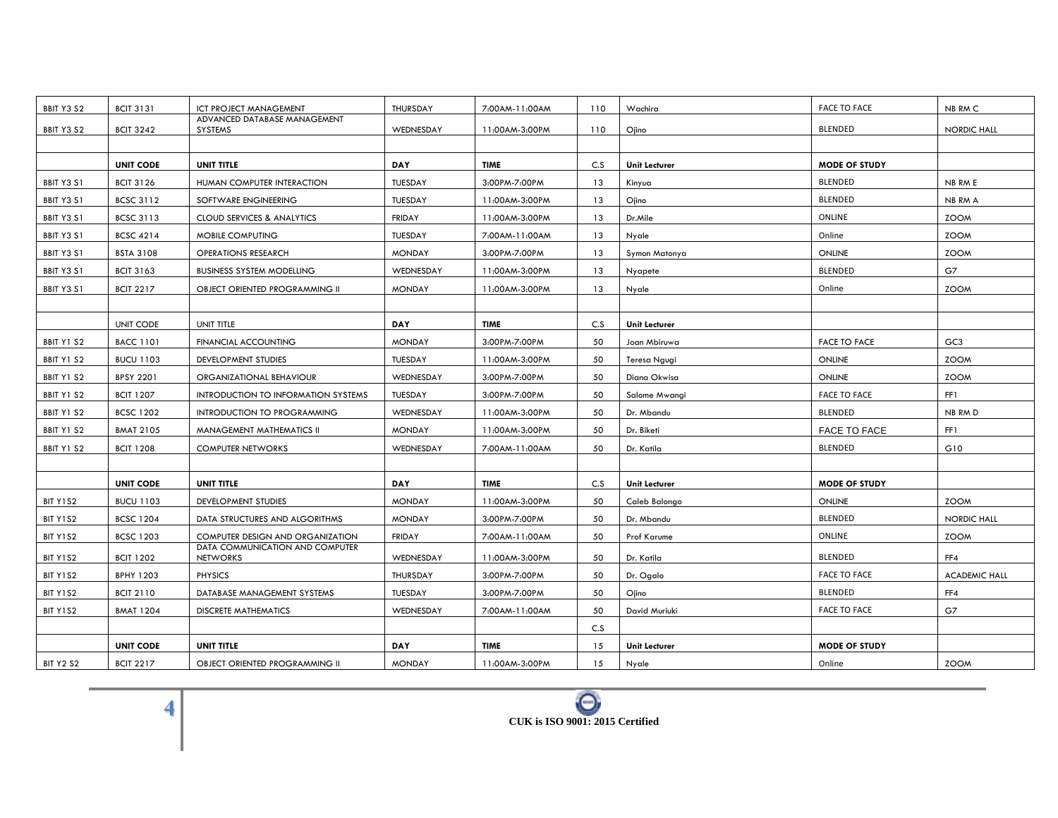| BBIT Y3 S2       | <b>BCIT 3131</b> | ICT PROJECT MANAGEMENT                             | THURSDAY      | 7:00AM-11:00AM | 110 | Wachira              | <b>FACE TO FACE</b>  | NB RM C              |
|------------------|------------------|----------------------------------------------------|---------------|----------------|-----|----------------------|----------------------|----------------------|
| BBIT Y3 S2       | <b>BCIT 3242</b> | ADVANCED DATABASE MANAGEMENT<br>SYSTEMS            | WEDNESDAY     | 11:00AM-3:00PM | 110 | Ojino                | BLENDED              | <b>NORDIC HALL</b>   |
|                  |                  |                                                    |               |                |     |                      |                      |                      |
|                  | <b>UNIT CODE</b> | UNIT TITLE                                         | <b>DAY</b>    | <b>TIME</b>    | C.S | Unit Lecturer        | <b>MODE OF STUDY</b> |                      |
| BBIT Y3 S1       | <b>BCIT 3126</b> | HUMAN COMPUTER INTERACTION                         | TUESDAY       | 3:00PM-7:00PM  | 13  | Kinyua               | <b>BLENDED</b>       | NB RM E              |
| BBIT Y3 S1       | <b>BCSC 3112</b> | SOFTWARE ENGINEERING                               | TUESDAY       | 11:00AM-3:00PM | 13  | Ojino                | <b>BLENDED</b>       | NB RM A              |
| BBIT Y3 S1       | <b>BCSC 3113</b> | <b>CLOUD SERVICES &amp; ANALYTICS</b>              | <b>FRIDAY</b> | 11:00AM-3:00PM | 13  | Dr.Mile              | ONLINE               | <b>ZOOM</b>          |
| BBIT Y3 S1       | <b>BCSC 4214</b> | MOBILE COMPUTING                                   | TUESDAY       | 7:00AM-11:00AM | 13  | Nyale                | Online               | <b>ZOOM</b>          |
| BBIT Y3 S1       | <b>BSTA 3108</b> | <b>OPERATIONS RESEARCH</b>                         | <b>MONDAY</b> | 3:00PM-7:00PM  | 13  | Symon Matonya        | <b>ONLINE</b>        | <b>ZOOM</b>          |
| BBIT Y3 S1       | <b>BCIT 3163</b> | <b>BUSINESS SYSTEM MODELLING</b>                   | WEDNESDAY     | 11:00AM-3:00PM | 13  | Nyapete              | <b>BLENDED</b>       | G7                   |
| BBIT Y3 S1       | <b>BCIT 2217</b> | OBJECT ORIENTED PROGRAMMING II                     | <b>MONDAY</b> | 11:00AM-3:00PM | 13  | Nyale                | Online               | <b>ZOOM</b>          |
|                  |                  |                                                    |               |                |     |                      |                      |                      |
|                  | <b>UNIT CODE</b> | UNIT TITLE                                         | <b>DAY</b>    | <b>TIME</b>    | C.S | <b>Unit Lecturer</b> |                      |                      |
| BBIT Y1 S2       | <b>BACC 1101</b> | FINANCIAL ACCOUNTING                               | <b>MONDAY</b> | 3:00PM-7:00PM  | 50  | Joan Mbiruwa         | <b>FACE TO FACE</b>  | GC <sub>3</sub>      |
| BBIT Y1 S2       | <b>BUCU 1103</b> | DEVELOPMENT STUDIES                                | TUESDAY       | 11:00AM-3:00PM | 50  | Teresa Ngugi         | ONLINE               | <b>ZOOM</b>          |
| BBIT Y1 S2       | <b>BPSY 2201</b> | ORGANIZATIONAL BEHAVIOUR                           | WEDNESDAY     | 3:00PM-7:00PM  | 50  | Diana Okwisa         | ONLINE               | <b>ZOOM</b>          |
| BBIT Y1 S2       | <b>BCIT 1207</b> | INTRODUCTION TO INFORMATION SYSTEMS                | TUESDAY       | 3:00PM-7:00PM  | 50  | Salome Mwangi        | <b>FACE TO FACE</b>  | FF1                  |
| BBIT Y1 S2       | <b>BCSC 1202</b> | INTRODUCTION TO PROGRAMMING                        | WEDNESDAY     | 11:00AM-3:00PM | 50  | Dr. Mbandu           | <b>BLENDED</b>       | NB RM D              |
| BBIT Y1 S2       | <b>BMAT 2105</b> | MANAGEMENT MATHEMATICS II                          | <b>MONDAY</b> | 11:00AM-3:00PM | 50  | Dr. Biketi           | <b>FACE TO FACE</b>  | FF1                  |
| BBIT Y1 S2       | <b>BCIT 1208</b> | <b>COMPUTER NETWORKS</b>                           | WEDNESDAY     | 7:00AM-11:00AM | 50  | Dr. Katila           | <b>BLENDED</b>       | G10                  |
|                  |                  |                                                    |               |                |     |                      |                      |                      |
|                  | <b>UNIT CODE</b> | UNIT TITLE                                         | DAY           | <b>TIME</b>    | C.S | <b>Unit Lecturer</b> | <b>MODE OF STUDY</b> |                      |
| BIT Y1S2         | <b>BUCU 1103</b> | DEVELOPMENT STUDIES                                | <b>MONDAY</b> | 11:00AM-3:00PM | 50  | Caleb Balongo        | ONLINE               | <b>ZOOM</b>          |
| BIT Y1S2         | <b>BCSC 1204</b> | DATA STRUCTURES AND ALGORITHMS                     | <b>MONDAY</b> | 3:00PM-7:00PM  | 50  | Dr. Mbandu           | <b>BLENDED</b>       | <b>NORDIC HALL</b>   |
| BIT Y1S2         | <b>BCSC 1203</b> | COMPUTER DESIGN AND ORGANIZATION                   | <b>FRIDAY</b> | 7:00AM-11:00AM | 50  | Prof Karume          | ONLINE               | <b>ZOOM</b>          |
| BIT Y1S2         | <b>BCIT 1202</b> | DATA COMMUNICATION AND COMPUTER<br><b>NETWORKS</b> | WEDNESDAY     | 11:00AM-3:00PM | 50  | Dr. Katila           | <b>BLENDED</b>       | FF4                  |
| BIT Y1S2         | <b>BPHY 1203</b> | <b>PHYSICS</b>                                     | THURSDAY      | 3:00PM-7:00PM  | 50  | Dr. Ogalo            | <b>FACE TO FACE</b>  | <b>ACADEMIC HALL</b> |
| BIT Y1S2         | <b>BCIT 2110</b> | DATABASE MANAGEMENT SYSTEMS                        | TUESDAY       | 3:00PM-7:00PM  | 50  | Ojino                | <b>BLENDED</b>       | FF4                  |
| BIT Y1S2         | <b>BMAT 1204</b> | <b>DISCRETE MATHEMATICS</b>                        | WEDNESDAY     | 7:00AM-11:00AM | 50  | David Muriuki        | <b>FACE TO FACE</b>  | G7                   |
|                  |                  |                                                    |               |                | C.S |                      |                      |                      |
|                  | <b>UNIT CODE</b> | UNIT TITLE                                         | <b>DAY</b>    | <b>TIME</b>    | 15  | Unit Lecturer        | <b>MODE OF STUDY</b> |                      |
| <b>BIT Y2 S2</b> | <b>BCIT 2217</b> | OBJECT ORIENTED PROGRAMMING II                     | <b>MONDAY</b> | 11:00AM-3:00PM | 15  | Nyale                | Online               | <b>ZOOM</b>          |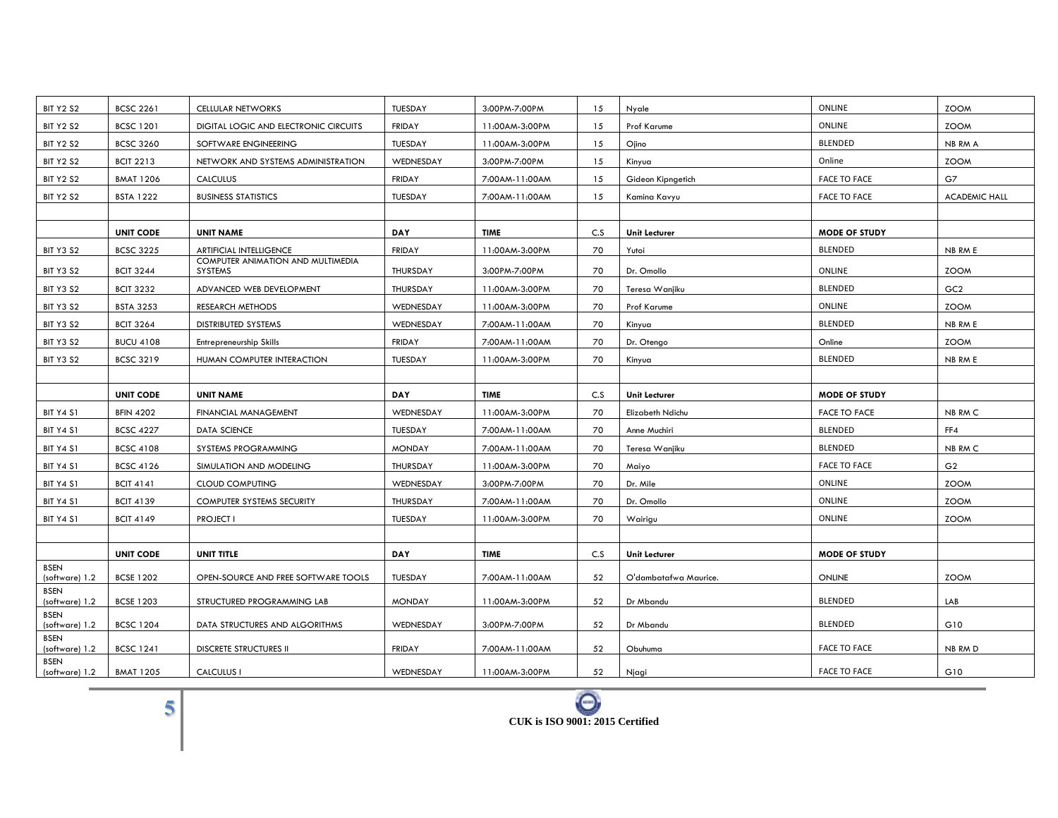| <b>BIT Y2 S2</b>              | <b>BCSC 2261</b> | <b>CELLULAR NETWORKS</b>                            | TUESDAY       | 3:00PM-7:00PM  | 15  | Nyale                 | ONLINE               | <b>ZOOM</b>          |
|-------------------------------|------------------|-----------------------------------------------------|---------------|----------------|-----|-----------------------|----------------------|----------------------|
| <b>BIT Y2 S2</b>              | <b>BCSC 1201</b> | DIGITAL LOGIC AND ELECTRONIC CIRCUITS               | <b>FRIDAY</b> | 11:00AM-3:00PM | 15  | Prof Karume           | ONLINE               | <b>ZOOM</b>          |
| <b>BIT Y2 S2</b>              | <b>BCSC 3260</b> | SOFTWARE ENGINEERING                                | TUESDAY       | 11:00AM-3:00PM | 15  | Ojino                 | <b>BLENDED</b>       | NB RM A              |
| <b>BIT Y2 S2</b>              | <b>BCIT 2213</b> | NETWORK AND SYSTEMS ADMINISTRATION                  | WEDNESDAY     | 3:00PM-7:00PM  | 15  | Kinyua                | Online               | <b>ZOOM</b>          |
| <b>BIT Y2 S2</b>              | <b>BMAT 1206</b> | <b>CALCULUS</b>                                     | <b>FRIDAY</b> | 7:00AM-11:00AM | 15  | Gideon Kipngetich     | <b>FACE TO FACE</b>  | G7                   |
| <b>BIT Y2 S2</b>              | <b>BSTA 1222</b> | <b>BUSINESS STATISTICS</b>                          | TUESDAY       | 7:00AM-11:00AM | 15  | Kamina Kavyu          | <b>FACE TO FACE</b>  | <b>ACADEMIC HALL</b> |
|                               |                  |                                                     |               |                |     |                       |                      |                      |
|                               | <b>UNIT CODE</b> | <b>UNIT NAME</b>                                    | <b>DAY</b>    | <b>TIME</b>    | C.S | <b>Unit Lecturer</b>  | <b>MODE OF STUDY</b> |                      |
| BIT Y3 S2                     | <b>BCSC 3225</b> | <b>ARTIFICIAL INTELLIGENCE</b>                      | <b>FRIDAY</b> | 11:00AM-3:00PM | 70  | Yutoi                 | <b>BLENDED</b>       | NB RM E              |
| <b>BIT Y3 S2</b>              | <b>BCIT 3244</b> | COMPUTER ANIMATION AND MULTIMEDIA<br><b>SYSTEMS</b> | THURSDAY      | 3:00PM-7:00PM  | 70  | Dr. Omollo            | ONLINE               | <b>ZOOM</b>          |
| <b>BIT Y3 S2</b>              | <b>BCIT 3232</b> | ADVANCED WEB DEVELOPMENT                            | THURSDAY      | 11:00AM-3:00PM | 70  | Teresa Wanjiku        | <b>BLENDED</b>       | GC <sub>2</sub>      |
| <b>BIT Y3 S2</b>              | <b>BSTA 3253</b> | RESEARCH METHODS                                    | WEDNESDAY     | 11:00AM-3:00PM | 70  | Prof Karume           | ONLINE               | <b>ZOOM</b>          |
| <b>BIT Y3 S2</b>              | <b>BCIT 3264</b> | DISTRIBUTED SYSTEMS                                 | WEDNESDAY     | 7:00AM-11:00AM | 70  | Kinyua                | <b>BLENDED</b>       | NB RM E              |
| BIT Y3 S2                     | <b>BUCU 4108</b> | Entrepreneurship Skills                             | <b>FRIDAY</b> | 7:00AM-11:00AM | 70  | Dr. Otengo            | Online               | <b>ZOOM</b>          |
| <b>BIT Y3 S2</b>              | <b>BCSC 3219</b> | HUMAN COMPUTER INTERACTION                          | TUESDAY       | 11:00AM-3:00PM | 70  | Kinyua                | <b>BLENDED</b>       | NB RM E              |
|                               |                  |                                                     |               |                |     |                       |                      |                      |
|                               |                  |                                                     |               |                |     |                       |                      |                      |
|                               | <b>UNIT CODE</b> | <b>UNIT NAME</b>                                    | <b>DAY</b>    | <b>TIME</b>    | C.S | Unit Lecturer         | <b>MODE OF STUDY</b> |                      |
| <b>BIT Y4 S1</b>              | <b>BFIN 4202</b> | FINANCIAL MANAGEMENT                                | WEDNESDAY     | 11:00AM-3:00PM | 70  | Elizabeth Ndichu      | <b>FACE TO FACE</b>  | NB RM C              |
| <b>BIT Y4 S1</b>              | <b>BCSC 4227</b> | DATA SCIENCE                                        | TUESDAY       | 7:00AM-11:00AM | 70  | Anne Muchiri          | <b>BLENDED</b>       | FF4                  |
| <b>BIT Y4 S1</b>              | <b>BCSC 4108</b> | SYSTEMS PROGRAMMING                                 | <b>MONDAY</b> | 7:00AM-11:00AM | 70  | Teresa Wanjiku        | <b>BLENDED</b>       | NB RM C              |
| <b>BIT Y4 S1</b>              | <b>BCSC 4126</b> | SIMULATION AND MODELING                             | THURSDAY      | 11:00AM-3:00PM | 70  | Maiyo                 | <b>FACE TO FACE</b>  | G <sub>2</sub>       |
| <b>BIT Y4 S1</b>              | <b>BCIT 4141</b> | <b>CLOUD COMPUTING</b>                              | WEDNESDAY     | 3:00PM-7:00PM  | 70  | Dr. Mile              | ONLINE               | <b>ZOOM</b>          |
| <b>BIT Y4 S1</b>              | <b>BCIT 4139</b> | COMPUTER SYSTEMS SECURITY                           | THURSDAY      | 7:00AM-11:00AM | 70  | Dr. Omollo            | ONLINE               | <b>ZOOM</b>          |
| <b>BIT Y4 S1</b>              | <b>BCIT 4149</b> | <b>PROJECT I</b>                                    | TUESDAY       | 11:00AM-3:00PM | 70  | Wairigu               | ONLINE               | <b>ZOOM</b>          |
|                               |                  |                                                     |               |                |     |                       |                      |                      |
|                               | <b>UNIT CODE</b> | UNIT TITLE                                          | <b>DAY</b>    | <b>TIME</b>    | C.S | <b>Unit Lecturer</b>  | <b>MODE OF STUDY</b> |                      |
| <b>BSEN</b><br>(software) 1.2 | <b>BCSE 1202</b> | OPEN-SOURCE AND FREE SOFTWARE TOOLS                 | TUESDAY       | 7:00AM-11:00AM | 52  | O'dambatafwa Maurice. | ONLINE               | <b>ZOOM</b>          |
| <b>BSEN</b>                   |                  |                                                     |               |                |     |                       |                      |                      |
| (software) 1.2<br><b>BSEN</b> | <b>BCSE 1203</b> | STRUCTURED PROGRAMMING LAB                          | <b>MONDAY</b> | 11:00AM-3:00PM | 52  | Dr Mbandu             | <b>BLENDED</b>       | LAB                  |
| (software) 1.2                | <b>BCSC 1204</b> | DATA STRUCTURES AND ALGORITHMS                      | WEDNESDAY     | 3:00PM-7:00PM  | 52  | Dr Mbandu             | <b>BLENDED</b>       | G10                  |
| <b>BSEN</b><br>(software) 1.2 | <b>BCSC 1241</b> | <b>DISCRETE STRUCTURES II</b>                       | <b>FRIDAY</b> | 7:00AM-11:00AM | 52  | Obuhuma               | <b>FACE TO FACE</b>  | NB RM D              |

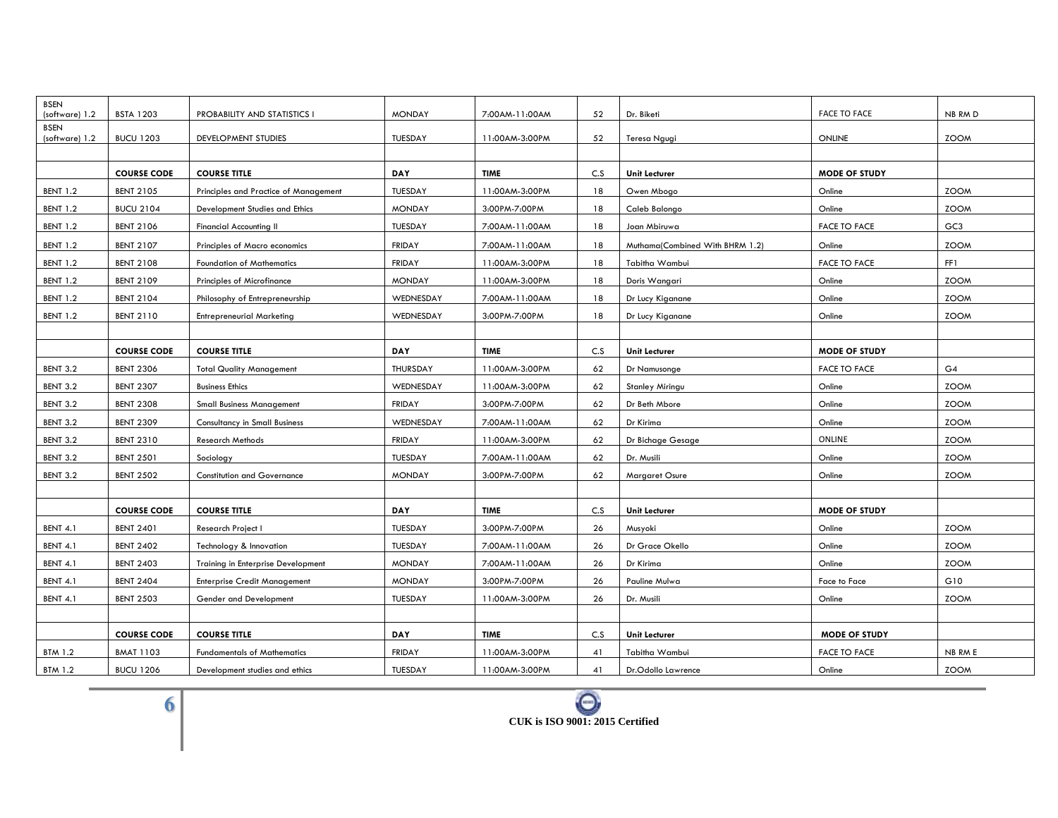| <b>BSEN</b><br>(software) 1.2 | <b>BSTA 1203</b>   | PROBABILITY AND STATISTICS I          | <b>MONDAY</b> | 7:00AM-11:00AM | 52  | Dr. Biketi                      | <b>FACE TO FACE</b>  | NB RM D         |
|-------------------------------|--------------------|---------------------------------------|---------------|----------------|-----|---------------------------------|----------------------|-----------------|
| <b>BSEN</b>                   |                    |                                       |               |                |     |                                 |                      |                 |
| (software) 1.2                | <b>BUCU 1203</b>   | DEVELOPMENT STUDIES                   | TUESDAY       | 11:00AM-3:00PM | 52  | Teresa Ngugi                    | ONLINE               | <b>ZOOM</b>     |
|                               |                    |                                       |               |                |     |                                 |                      |                 |
|                               | <b>COURSE CODE</b> | <b>COURSE TITLE</b>                   | <b>DAY</b>    | <b>TIME</b>    | C.S | <b>Unit Lecturer</b>            | <b>MODE OF STUDY</b> |                 |
| <b>BENT 1.2</b>               | <b>BENT 2105</b>   | Principles and Practice of Management | TUESDAY       | 11:00AM-3:00PM | 18  | Owen Mbogo                      | Online               | <b>ZOOM</b>     |
| <b>BENT 1.2</b>               | <b>BUCU 2104</b>   | Development Studies and Ethics        | <b>MONDAY</b> | 3:00PM-7:00PM  | 18  | Caleb Balongo                   | Online               | <b>ZOOM</b>     |
| <b>BENT 1.2</b>               | <b>BENT 2106</b>   | <b>Financial Accounting II</b>        | TUESDAY       | 7:00AM-11:00AM | 18  | Joan Mbiruwa                    | <b>FACE TO FACE</b>  | GC <sub>3</sub> |
| <b>BENT 1.2</b>               | <b>BENT 2107</b>   | Principles of Macro economics         | <b>FRIDAY</b> | 7:00AM-11:00AM | 18  | Muthama(Combined With BHRM 1.2) | Online               | <b>ZOOM</b>     |
| <b>BENT 1.2</b>               | <b>BENT 2108</b>   | <b>Foundation of Mathematics</b>      | <b>FRIDAY</b> | 11:00AM-3:00PM | 18  | Tabitha Wambui                  | <b>FACE TO FACE</b>  | FF1             |
| <b>BENT 1.2</b>               | <b>BENT 2109</b>   | Principles of Microfinance            | <b>MONDAY</b> | 11:00AM-3:00PM | 18  | Doris Wangari                   | Online               | <b>ZOOM</b>     |
| <b>BENT 1.2</b>               | <b>BENT 2104</b>   | Philosophy of Entrepreneurship        | WEDNESDAY     | 7:00AM-11:00AM | 18  | Dr Lucy Kiganane                | Online               | <b>ZOOM</b>     |
| <b>BENT 1.2</b>               | <b>BENT 2110</b>   | <b>Entrepreneurial Marketing</b>      | WEDNESDAY     | 3:00PM-7:00PM  | 18  | Dr Lucy Kiganane                | Online               | <b>ZOOM</b>     |
|                               |                    |                                       |               |                |     |                                 |                      |                 |
|                               | <b>COURSE CODE</b> | <b>COURSE TITLE</b>                   | <b>DAY</b>    | <b>TIME</b>    | C.S | <b>Unit Lecturer</b>            | <b>MODE OF STUDY</b> |                 |
| <b>BENT 3.2</b>               | <b>BENT 2306</b>   | <b>Total Quality Management</b>       | THURSDAY      | 11:00AM-3:00PM | 62  | Dr Namusonge                    | <b>FACE TO FACE</b>  | G4              |
| <b>BENT 3.2</b>               | <b>BENT 2307</b>   | <b>Business Ethics</b>                | WEDNESDAY     | 11:00AM-3:00PM | 62  | <b>Stanley Miringu</b>          | Online               | <b>ZOOM</b>     |
| <b>BENT 3.2</b>               | <b>BENT 2308</b>   | <b>Small Business Management</b>      | <b>FRIDAY</b> | 3:00PM-7:00PM  | 62  | Dr Beth Mbore                   | Online               | <b>ZOOM</b>     |
| <b>BENT 3.2</b>               | <b>BENT 2309</b>   | <b>Consultancy in Small Business</b>  | WEDNESDAY     | 7:00AM-11:00AM | 62  | Dr Kirima                       | Online               | <b>ZOOM</b>     |
| <b>BENT 3.2</b>               | <b>BENT 2310</b>   | <b>Research Methods</b>               | <b>FRIDAY</b> | 11:00AM-3:00PM | 62  | Dr Bichage Gesage               | ONLINE               | <b>ZOOM</b>     |
| <b>BENT 3.2</b>               | <b>BENT 2501</b>   | Sociology                             | TUESDAY       | 7:00AM-11:00AM | 62  | Dr. Musili                      | Online               | <b>ZOOM</b>     |
| BENT 3.2                      | <b>BENT 2502</b>   | <b>Constitution and Governance</b>    | <b>MONDAY</b> | 3:00PM-7:00PM  | 62  | <b>Margaret Osure</b>           | Online               | <b>ZOOM</b>     |
|                               |                    |                                       |               |                |     |                                 |                      |                 |
|                               | <b>COURSE CODE</b> | <b>COURSE TITLE</b>                   | <b>DAY</b>    | <b>TIME</b>    | C.S | <b>Unit Lecturer</b>            | <b>MODE OF STUDY</b> |                 |
| <b>BENT 4.1</b>               | <b>BENT 2401</b>   | Research Project I                    | TUESDAY       | 3:00PM-7:00PM  | 26  | Musyoki                         | Online               | <b>ZOOM</b>     |
| <b>BENT 4.1</b>               | <b>BENT 2402</b>   | Technology & Innovation               | TUESDAY       | 7:00AM-11:00AM | 26  | Dr Grace Okello                 | Online               | <b>ZOOM</b>     |
| <b>BENT 4.1</b>               | <b>BENT 2403</b>   | Training in Enterprise Development    | <b>MONDAY</b> | 7:00AM-11:00AM | 26  | Dr Kirima                       | Online               | <b>ZOOM</b>     |
| <b>BENT 4.1</b>               | <b>BENT 2404</b>   | <b>Enterprise Credit Management</b>   | <b>MONDAY</b> | 3:00PM-7:00PM  | 26  | Pauline Mulwa                   | Face to Face         | G10             |
| <b>BENT 4.1</b>               | <b>BENT 2503</b>   | Gender and Development                | TUESDAY       | 11:00AM-3:00PM | 26  | Dr. Musili                      | Online               | <b>ZOOM</b>     |
|                               |                    |                                       |               |                |     |                                 |                      |                 |
|                               | <b>COURSE CODE</b> | <b>COURSE TITLE</b>                   | <b>DAY</b>    | <b>TIME</b>    | C.S | <b>Unit Lecturer</b>            | <b>MODE OF STUDY</b> |                 |
| <b>BTM 1.2</b>                | <b>BMAT 1103</b>   | <b>Fundamentals of Mathematics</b>    | <b>FRIDAY</b> | 11:00AM-3:00PM | 41  | Tabitha Wambui                  | <b>FACE TO FACE</b>  | NB RM E         |
| <b>BTM 1.2</b>                | <b>BUCU 1206</b>   | Development studies and ethics        | TUESDAY       | 11:00AM-3:00PM | 41  | Dr.Odollo Lawrence              | Online               | <b>ZOOM</b>     |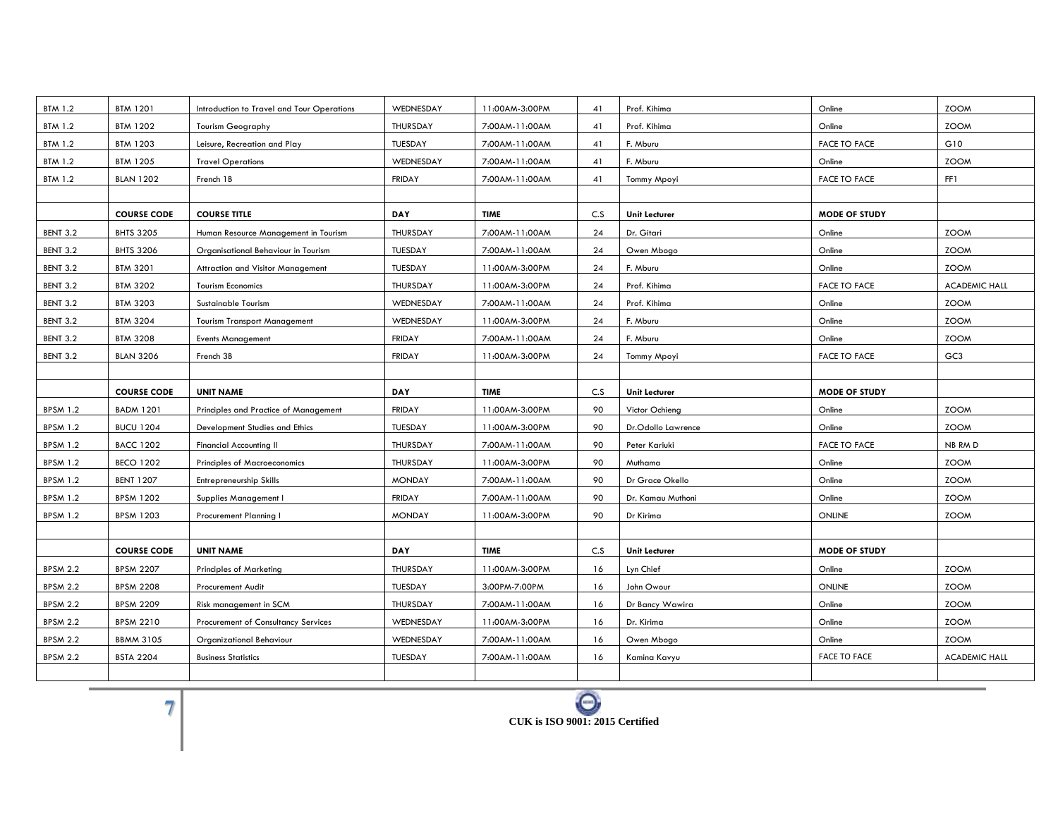| <b>BTM 1.2</b>  | <b>BTM 1201</b>    | Introduction to Travel and Tour Operations | WEDNESDAY     | 11:00AM-3:00PM | 41  | Prof. Kihima         | Online               | <b>ZOOM</b>          |
|-----------------|--------------------|--------------------------------------------|---------------|----------------|-----|----------------------|----------------------|----------------------|
| <b>BTM 1.2</b>  | <b>BTM 1202</b>    | <b>Tourism Geography</b>                   | THURSDAY      | 7:00AM-11:00AM | 41  | Prof. Kihima         | Online               | <b>ZOOM</b>          |
| <b>BTM 1.2</b>  | <b>BTM 1203</b>    | Leisure, Recreation and Play               | TUESDAY       | 7:00AM-11:00AM | 41  | F. Mburu             | <b>FACE TO FACE</b>  | G10                  |
| <b>BTM 1.2</b>  | <b>BTM 1205</b>    | <b>Travel Operations</b>                   | WEDNESDAY     | 7:00AM-11:00AM | 41  | F. Mburu             | Online               | <b>ZOOM</b>          |
| <b>BTM 1.2</b>  | <b>BLAN 1202</b>   | French 1B                                  | <b>FRIDAY</b> | 7:00AM-11:00AM | 41  | Tommy Mpoyi          | <b>FACE TO FACE</b>  | FF1                  |
|                 |                    |                                            |               |                |     |                      |                      |                      |
|                 | <b>COURSE CODE</b> | <b>COURSE TITLE</b>                        | <b>DAY</b>    | <b>TIME</b>    | C.S | Unit Lecturer        | <b>MODE OF STUDY</b> |                      |
| BENT 3.2        | <b>BHTS 3205</b>   | Human Resource Management in Tourism       | THURSDAY      | 7:00AM-11:00AM | 24  | Dr. Gitari           | Online               | <b>ZOOM</b>          |
| <b>BENT 3.2</b> | <b>BHTS 3206</b>   | Organisational Behaviour in Tourism        | TUESDAY       | 7:00AM-11:00AM | 24  | Owen Mbogo           | Online               | <b>ZOOM</b>          |
| BENT 3.2        | <b>BTM 3201</b>    | Attraction and Visitor Management          | TUESDAY       | 11:00AM-3:00PM | 24  | F. Mburu             | Online               | <b>ZOOM</b>          |
| <b>BENT 3.2</b> | <b>BTM 3202</b>    | <b>Tourism Economics</b>                   | THURSDAY      | 11:00AM-3:00PM | 24  | Prof. Kihima         | <b>FACE TO FACE</b>  | <b>ACADEMIC HALL</b> |
| BENT 3.2        | <b>BTM 3203</b>    | Sustainable Tourism                        | WEDNESDAY     | 7:00AM-11:00AM | 24  | Prof. Kihima         | Online               | <b>ZOOM</b>          |
| BENT 3.2        | <b>BTM 3204</b>    | <b>Tourism Transport Management</b>        | WEDNESDAY     | 11:00AM-3:00PM | 24  | F. Mburu             | Online               | <b>ZOOM</b>          |
| BENT 3.2        | <b>BTM 3208</b>    | <b>Events Management</b>                   | <b>FRIDAY</b> | 7:00AM-11:00AM | 24  | F. Mburu             | Online               | <b>ZOOM</b>          |
| <b>BENT 3.2</b> | <b>BLAN 3206</b>   | French 3B                                  | <b>FRIDAY</b> | 11:00AM-3:00PM | 24  | Tommy Mpoyi          | <b>FACE TO FACE</b>  | GC <sub>3</sub>      |
|                 |                    |                                            |               |                |     |                      |                      |                      |
|                 | <b>COURSE CODE</b> | <b>UNIT NAME</b>                           | <b>DAY</b>    | <b>TIME</b>    | C.S | Unit Lecturer        | <b>MODE OF STUDY</b> |                      |
| <b>BPSM 1.2</b> | <b>BADM 1201</b>   | Principles and Practice of Management      | <b>FRIDAY</b> | 11:00AM-3:00PM | 90  | Victor Ochieng       | Online               | <b>ZOOM</b>          |
| <b>BPSM 1.2</b> | <b>BUCU 1204</b>   | Development Studies and Ethics             | TUESDAY       | 11:00AM-3:00PM | 90  | Dr.Odollo Lawrence   | Online               | <b>ZOOM</b>          |
|                 |                    |                                            |               |                |     |                      |                      |                      |
| <b>BPSM 1.2</b> | <b>BACC 1202</b>   | <b>Financial Accounting II</b>             | THURSDAY      | 7:00AM-11:00AM | 90  | Peter Kariuki        | <b>FACE TO FACE</b>  | NB RM D              |
| <b>BPSM 1.2</b> | <b>BECO 1202</b>   | <b>Principles of Macroeconomics</b>        | THURSDAY      | 11:00AM-3:00PM | 90  | Muthama              | Online               | <b>ZOOM</b>          |
| <b>BPSM 1.2</b> | <b>BENT 1207</b>   | Entrepreneurship Skills                    | <b>MONDAY</b> | 7:00AM-11:00AM | 90  | Dr Grace Okello      | Online               | <b>ZOOM</b>          |
| <b>BPSM 1.2</b> | <b>BPSM 1202</b>   | Supplies Management I                      | <b>FRIDAY</b> | 7:00AM-11:00AM | 90  | Dr. Kamau Muthoni    | Online               | <b>ZOOM</b>          |
| <b>BPSM 1.2</b> | <b>BPSM 1203</b>   | Procurement Planning I                     | <b>MONDAY</b> | 11:00AM-3:00PM | 90  | Dr Kirima            | ONLINE               | <b>ZOOM</b>          |
|                 |                    |                                            |               |                |     |                      |                      |                      |
|                 | <b>COURSE CODE</b> | <b>UNIT NAME</b>                           | <b>DAY</b>    | <b>TIME</b>    | C.S | <b>Unit Lecturer</b> | <b>MODE OF STUDY</b> |                      |
| <b>BPSM 2.2</b> | <b>BPSM 2207</b>   | <b>Principles of Marketing</b>             | THURSDAY      | 11:00AM-3:00PM | 16  | Lyn Chief            | Online               | <b>ZOOM</b>          |
| <b>BPSM 2.2</b> | <b>BPSM 2208</b>   | <b>Procurement Audit</b>                   | TUESDAY       | 3:00PM-7:00PM  | 16  | John Owour           | ONLINE               | <b>ZOOM</b>          |
| <b>BPSM 2.2</b> | <b>BPSM 2209</b>   | Risk management in SCM                     | THURSDAY      | 7:00AM-11:00AM | 16  | Dr Bancy Wawira      | Online               | <b>ZOOM</b>          |
| <b>BPSM 2.2</b> | <b>BPSM 2210</b>   | Procurement of Consultancy Services        | WEDNESDAY     | 11:00AM-3:00PM | 16  | Dr. Kirima           | Online               | <b>ZOOM</b>          |
| <b>BPSM 2.2</b> | <b>BBMM 3105</b>   | Organizational Behaviour                   | WEDNESDAY     | 7:00AM-11:00AM | 16  | Owen Mbogo           | Online               | <b>ZOOM</b>          |
| <b>BPSM 2.2</b> | <b>BSTA 2204</b>   | <b>Business Statistics</b>                 | TUESDAY       | 7:00AM-11:00AM | 16  | Kamina Kavyu         | <b>FACE TO FACE</b>  | <b>ACADEMIC HALL</b> |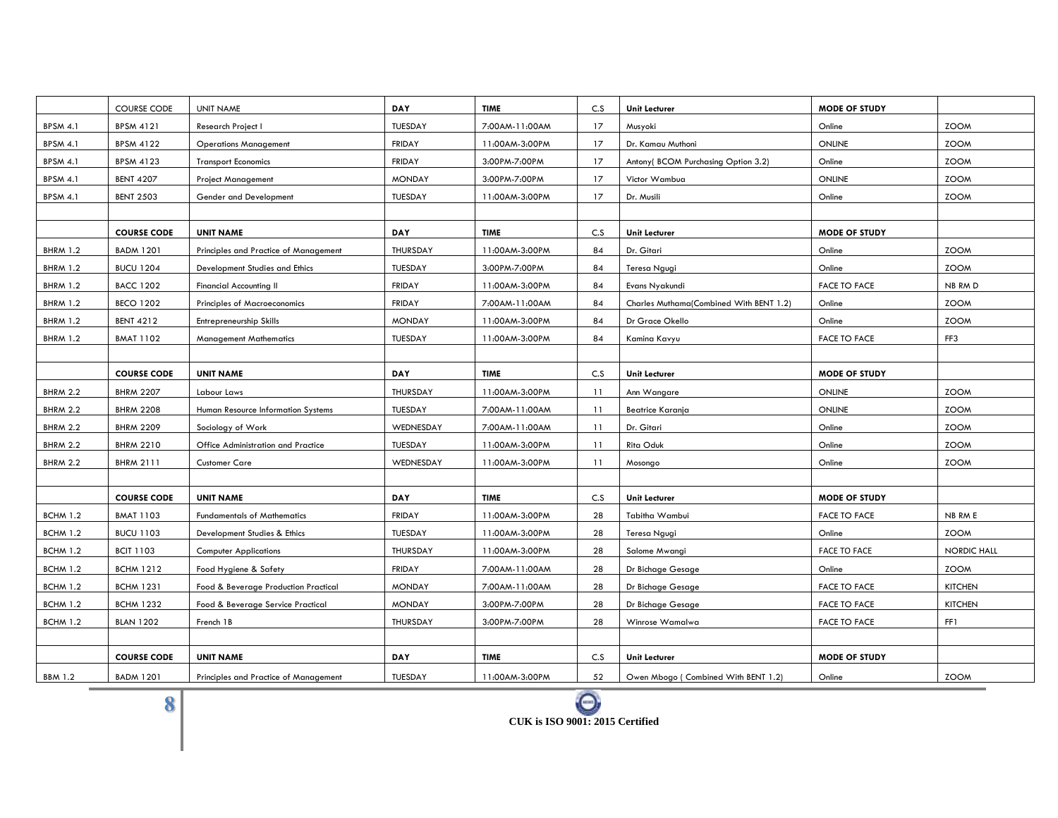|                 | <b>COURSE CODE</b> | <b>UNIT NAME</b>                      | DAY           | <b>TIME</b>    | C.S | <b>Unit Lecturer</b>                    | <b>MODE OF STUDY</b> |                    |
|-----------------|--------------------|---------------------------------------|---------------|----------------|-----|-----------------------------------------|----------------------|--------------------|
| <b>BPSM 4.1</b> | <b>BPSM 4121</b>   | <b>Research Project I</b>             | TUESDAY       | 7:00AM-11:00AM | 17  | Musyoki                                 | Online               | <b>ZOOM</b>        |
| <b>BPSM 4.1</b> | <b>BPSM 4122</b>   | <b>Operations Management</b>          | <b>FRIDAY</b> | 11:00AM-3:00PM | 17  | Dr. Kamau Muthoni                       | <b>ONLINE</b>        | <b>ZOOM</b>        |
| <b>BPSM 4.1</b> | <b>BPSM 4123</b>   | <b>Transport Economics</b>            | <b>FRIDAY</b> | 3:00PM-7:00PM  | 17  | Antony( BCOM Purchasing Option 3.2)     | Online               | <b>ZOOM</b>        |
| <b>BPSM 4.1</b> | <b>BENT 4207</b>   | <b>Project Management</b>             | <b>MONDAY</b> | 3:00PM-7:00PM  | 17  | Victor Wambua                           | <b>ONLINE</b>        | <b>ZOOM</b>        |
| <b>BPSM 4.1</b> | <b>BENT 2503</b>   | Gender and Development                | TUESDAY       | 11:00AM-3:00PM | 17  | Dr. Musili                              | Online               | <b>ZOOM</b>        |
|                 |                    |                                       |               |                |     |                                         |                      |                    |
|                 | <b>COURSE CODE</b> | <b>UNIT NAME</b>                      | DAY           | <b>TIME</b>    | C.S | <b>Unit Lecturer</b>                    | <b>MODE OF STUDY</b> |                    |
| <b>BHRM 1.2</b> | <b>BADM 1201</b>   | Principles and Practice of Management | THURSDAY      | 11:00AM-3:00PM | 84  | Dr. Gitari                              | Online               | <b>ZOOM</b>        |
| <b>BHRM 1.2</b> | <b>BUCU 1204</b>   | Development Studies and Ethics        | TUESDAY       | 3:00PM-7:00PM  | 84  | Teresa Ngugi                            | Online               | <b>ZOOM</b>        |
| <b>BHRM 1.2</b> | <b>BACC 1202</b>   | <b>Financial Accounting II</b>        | <b>FRIDAY</b> | 11:00AM-3:00PM | 84  | Evans Nyakundi                          | <b>FACE TO FACE</b>  | NB RM D            |
| <b>BHRM 1.2</b> | <b>BECO 1202</b>   | <b>Principles of Macroeconomics</b>   | <b>FRIDAY</b> | 7:00AM-11:00AM | 84  | Charles Muthama(Combined With BENT 1.2) | Online               | <b>ZOOM</b>        |
| <b>BHRM 1.2</b> | <b>BENT 4212</b>   | Entrepreneurship Skills               | <b>MONDAY</b> | 11:00AM-3:00PM | 84  | Dr Grace Okello                         | Online               | <b>ZOOM</b>        |
| <b>BHRM 1.2</b> | <b>BMAT 1102</b>   | <b>Management Mathematics</b>         | TUESDAY       | 11:00AM-3:00PM | 84  | Kamina Kavyu                            | <b>FACE TO FACE</b>  | FF3                |
|                 |                    |                                       |               |                |     |                                         |                      |                    |
|                 | <b>COURSE CODE</b> | <b>UNIT NAME</b>                      | DAY           | <b>TIME</b>    | C.S | Unit Lecturer                           | <b>MODE OF STUDY</b> |                    |
| <b>BHRM 2.2</b> | <b>BHRM 2207</b>   | Labour Laws                           | THURSDAY      | 11:00AM-3:00PM | 11  | Ann Wangare                             | ONLINE               | <b>ZOOM</b>        |
| <b>BHRM 2.2</b> | <b>BHRM 2208</b>   | Human Resource Information Systems    | TUESDAY       | 7:00AM-11:00AM | 11  | <b>Beatrice Karanja</b>                 | <b>ONLINE</b>        | <b>ZOOM</b>        |
| <b>BHRM 2.2</b> | <b>BHRM 2209</b>   | Sociology of Work                     | WEDNESDAY     | 7:00AM-11:00AM | 11  | Dr. Gitari                              | Online               | <b>ZOOM</b>        |
| <b>BHRM 2.2</b> | <b>BHRM 2210</b>   | Office Administration and Practice    | TUESDAY       | 11:00AM-3:00PM | 11  | Rita Oduk                               | Online               | <b>ZOOM</b>        |
| <b>BHRM 2.2</b> | <b>BHRM 2111</b>   | <b>Customer Care</b>                  | WEDNESDAY     | 11:00AM-3:00PM | 11  | Mosongo                                 | Online               | <b>ZOOM</b>        |
|                 |                    |                                       |               |                |     |                                         |                      |                    |
|                 | <b>COURSE CODE</b> | <b>UNIT NAME</b>                      | DAY           | <b>TIME</b>    | C.S | Unit Lecturer                           | <b>MODE OF STUDY</b> |                    |
| <b>BCHM 1.2</b> | <b>BMAT 1103</b>   | <b>Fundamentals of Mathematics</b>    | <b>FRIDAY</b> | 11:00AM-3:00PM | 28  | Tabitha Wambui                          | <b>FACE TO FACE</b>  | NB RM E            |
| <b>BCHM 1.2</b> | <b>BUCU 1103</b>   | Development Studies & Ethics          | TUESDAY       | 11:00AM-3:00PM | 28  | Teresa Ngugi                            | Online               | <b>ZOOM</b>        |
| <b>BCHM 1.2</b> | <b>BCIT 1103</b>   | <b>Computer Applications</b>          | THURSDAY      | 11:00AM-3:00PM | 28  | Salome Mwangi                           | <b>FACE TO FACE</b>  | <b>NORDIC HALL</b> |
| <b>BCHM 1.2</b> | <b>BCHM 1212</b>   | Food Hygiene & Safety                 | <b>FRIDAY</b> | 7:00AM-11:00AM | 28  | Dr Bichage Gesage                       | Online               | <b>ZOOM</b>        |
| <b>BCHM 1.2</b> | <b>BCHM 1231</b>   | Food & Beverage Production Practical  | <b>MONDAY</b> | 7:00AM-11:00AM | 28  | Dr Bichage Gesage                       | <b>FACE TO FACE</b>  | <b>KITCHEN</b>     |
| <b>BCHM 1.2</b> | <b>BCHM 1232</b>   | Food & Beverage Service Practical     | <b>MONDAY</b> | 3:00PM-7:00PM  | 28  | Dr Bichage Gesage                       | <b>FACE TO FACE</b>  | <b>KITCHEN</b>     |
| <b>BCHM 1.2</b> | <b>BLAN 1202</b>   | French 1B                             | THURSDAY      | 3:00PM-7:00PM  | 28  | Winrose Wamalwa                         | <b>FACE TO FACE</b>  | FF1                |
|                 |                    |                                       |               |                |     |                                         |                      |                    |
|                 | <b>COURSE CODE</b> | <b>UNIT NAME</b>                      | DAY           | <b>TIME</b>    | C.S | <b>Unit Lecturer</b>                    | <b>MODE OF STUDY</b> |                    |
| <b>BBM 1.2</b>  | <b>BADM 1201</b>   | Principles and Practice of Management | TUESDAY       | 11:00AM-3:00PM | 52  | Owen Mbogo (Combined With BENT 1.2)     | Online               | <b>ZOOM</b>        |

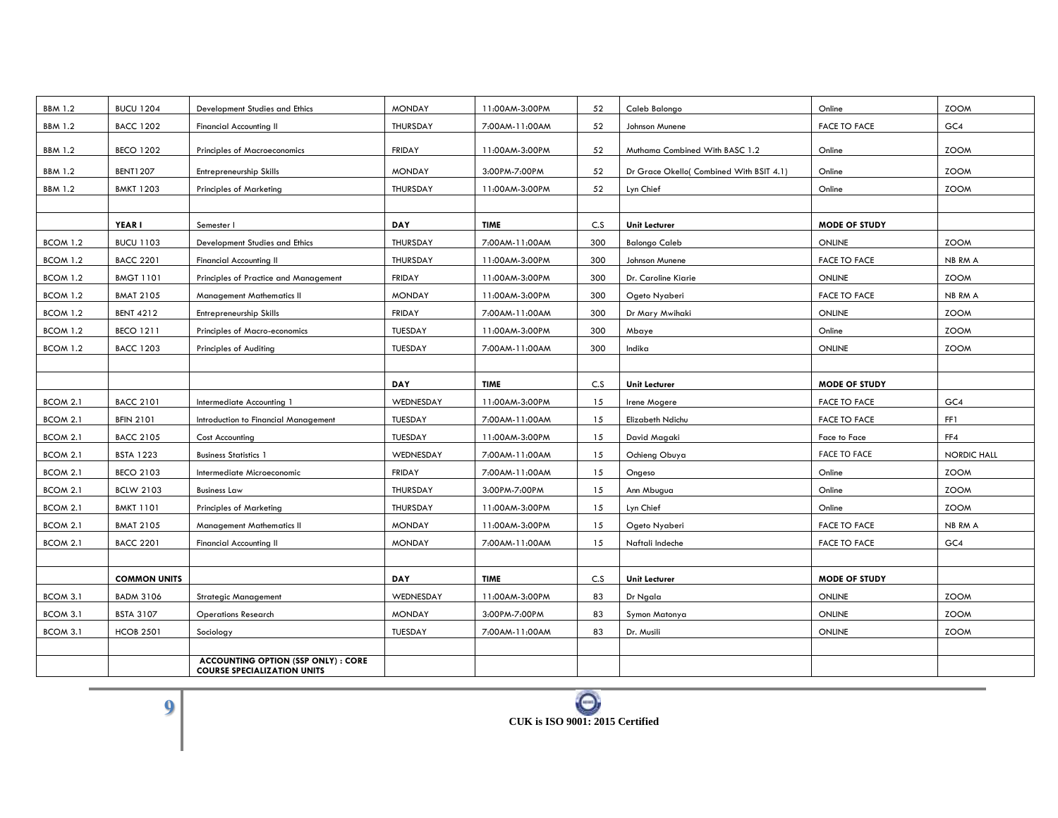| <b>BBM 1.2</b>  | <b>BUCU 1204</b>    | Development Studies and Ethics                                                   | <b>MONDAY</b> | 11:00AM-3:00PM | 52  | Caleb Balongo                            | Online               | <b>ZOOM</b>        |
|-----------------|---------------------|----------------------------------------------------------------------------------|---------------|----------------|-----|------------------------------------------|----------------------|--------------------|
| <b>BBM 1.2</b>  | <b>BACC 1202</b>    | <b>Financial Accounting II</b>                                                   | THURSDAY      | 7:00AM-11:00AM | 52  | Johnson Munene                           | <b>FACE TO FACE</b>  | GC4                |
| <b>BBM 1.2</b>  | <b>BECO 1202</b>    | <b>Principles of Macroeconomics</b>                                              | <b>FRIDAY</b> | 11:00AM-3:00PM | 52  | Muthama Combined With BASC 1.2           | Online               | <b>ZOOM</b>        |
|                 |                     |                                                                                  |               |                |     |                                          |                      |                    |
| <b>BBM 1.2</b>  | <b>BENT1207</b>     | Entrepreneurship Skills                                                          | <b>MONDAY</b> | 3:00PM-7:00PM  | 52  | Dr Grace Okello( Combined With BSIT 4.1) | Online               | <b>ZOOM</b>        |
| <b>BBM 1.2</b>  | <b>BMKT 1203</b>    | <b>Principles of Marketing</b>                                                   | THURSDAY      | 11:00AM-3:00PM | 52  | Lyn Chief                                | Online               | <b>ZOOM</b>        |
|                 |                     |                                                                                  |               |                |     |                                          |                      |                    |
|                 | YEAR I              | Semester I                                                                       | <b>DAY</b>    | <b>TIME</b>    | C.S | <b>Unit Lecturer</b>                     | <b>MODE OF STUDY</b> |                    |
| BCOM 1.2        | <b>BUCU 1103</b>    | Development Studies and Ethics                                                   | THURSDAY      | 7:00AM-11:00AM | 300 | <b>Balongo Caleb</b>                     | ONLINE               | <b>ZOOM</b>        |
| <b>BCOM 1.2</b> | <b>BACC 2201</b>    | <b>Financial Accounting II</b>                                                   | THURSDAY      | 11:00AM-3:00PM | 300 | Johnson Munene                           | <b>FACE TO FACE</b>  | NB RM A            |
| BCOM 1.2        | <b>BMGT 1101</b>    | Principles of Practice and Management                                            | <b>FRIDAY</b> | 11:00AM-3:00PM | 300 | Dr. Caroline Kiarie                      | ONLINE               | <b>ZOOM</b>        |
| BCOM 1.2        | <b>BMAT 2105</b>    | Management Mathematics II                                                        | <b>MONDAY</b> | 11:00AM-3:00PM | 300 | Ogeto Nyaberi                            | <b>FACE TO FACE</b>  | <b>NB RM A</b>     |
| <b>BCOM 1.2</b> | <b>BENT 4212</b>    | Entrepreneurship Skills                                                          | <b>FRIDAY</b> | 7:00AM-11:00AM | 300 | Dr Mary Mwihaki                          | ONLINE               | <b>ZOOM</b>        |
| <b>BCOM 1.2</b> | <b>BECO 1211</b>    | Principles of Macro-economics                                                    | TUESDAY       | 11:00AM-3:00PM | 300 | Mbaye                                    | Online               | <b>ZOOM</b>        |
| BCOM 1.2        | <b>BACC 1203</b>    | Principles of Auditing                                                           | TUESDAY       | 7:00AM-11:00AM | 300 | Indika                                   | ONLINE               | <b>ZOOM</b>        |
|                 |                     |                                                                                  |               |                |     |                                          |                      |                    |
|                 |                     |                                                                                  | <b>DAY</b>    | <b>TIME</b>    | C.S | Unit Lecturer                            | <b>MODE OF STUDY</b> |                    |
| <b>BCOM 2.1</b> | <b>BACC 2101</b>    | Intermediate Accounting 1                                                        | WEDNESDAY     | 11:00AM-3:00PM | 15  | Irene Mogere                             | <b>FACE TO FACE</b>  | GC4                |
| BCOM 2.1        | <b>BFIN 2101</b>    | Introduction to Financial Management                                             | TUESDAY       | 7:00AM-11:00AM | 15  | Elizabeth Ndichu                         | <b>FACE TO FACE</b>  | FF1                |
| <b>BCOM 2.1</b> | <b>BACC 2105</b>    | Cost Accounting                                                                  | TUESDAY       | 11:00AM-3:00PM | 15  | David Magaki                             | Face to Face         | FF4                |
| <b>BCOM 2.1</b> | <b>BSTA 1223</b>    | <b>Business Statistics 1</b>                                                     | WEDNESDAY     | 7:00AM-11:00AM | 15  | Ochieng Obuya                            | <b>FACE TO FACE</b>  | <b>NORDIC HALL</b> |
| <b>BCOM 2.1</b> | <b>BECO 2103</b>    | Intermediate Microeconomic                                                       | <b>FRIDAY</b> | 7:00AM-11:00AM | 15  | Ongeso                                   | Online               | <b>ZOOM</b>        |
| <b>BCOM 2.1</b> | <b>BCLW 2103</b>    | <b>Business Law</b>                                                              | THURSDAY      | 3:00PM-7:00PM  | 15  | Ann Mbugua                               | Online               | <b>ZOOM</b>        |
| <b>BCOM 2.1</b> | <b>BMKT 1101</b>    | <b>Principles of Marketing</b>                                                   | THURSDAY      | 11:00AM-3:00PM | 15  | Lyn Chief                                | Online               | <b>ZOOM</b>        |
| BCOM 2.1        | <b>BMAT 2105</b>    | Management Mathematics II                                                        | <b>MONDAY</b> | 11:00AM-3:00PM | 15  | Ogeto Nyaberi                            | <b>FACE TO FACE</b>  | NB RM A            |
| BCOM 2.1        | <b>BACC 2201</b>    | <b>Financial Accounting II</b>                                                   | <b>MONDAY</b> | 7:00AM-11:00AM | 15  | Naftali Indeche                          | <b>FACE TO FACE</b>  | GC4                |
|                 |                     |                                                                                  |               |                |     |                                          |                      |                    |
|                 | <b>COMMON UNITS</b> |                                                                                  | <b>DAY</b>    | <b>TIME</b>    | C.S | <b>Unit Lecturer</b>                     | <b>MODE OF STUDY</b> |                    |
| BCOM 3.1        | <b>BADM 3106</b>    | <b>Strategic Management</b>                                                      | WEDNESDAY     | 11:00AM-3:00PM | 83  | Dr Ngala                                 | ONLINE               | <b>ZOOM</b>        |
| BCOM 3.1        | <b>BSTA 3107</b>    | <b>Operations Research</b>                                                       | <b>MONDAY</b> | 3:00PM-7:00PM  | 83  | Symon Matonya                            | ONLINE               | <b>ZOOM</b>        |
| BCOM 3.1        | <b>HCOB 2501</b>    | Sociology                                                                        | TUESDAY       | 7:00AM-11:00AM | 83  | Dr. Musili                               | ONLINE               | <b>ZOOM</b>        |
|                 |                     |                                                                                  |               |                |     |                                          |                      |                    |
|                 |                     | <b>ACCOUNTING OPTION (SSP ONLY) : CORE</b><br><b>COURSE SPECIALIZATION UNITS</b> |               |                |     |                                          |                      |                    |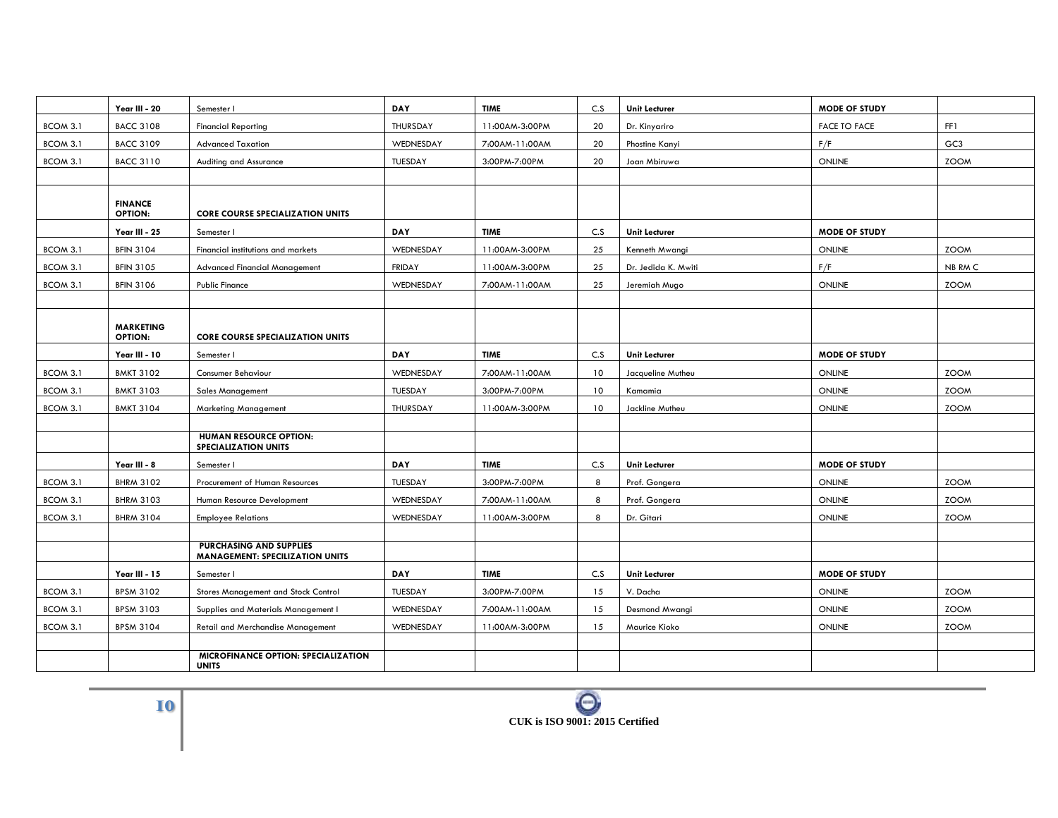|          | Year III - 20                      | Semester I                                                        | DAY           | <b>TIME</b>    | C.S             | Unit Lecturer        | <b>MODE OF STUDY</b> |                 |
|----------|------------------------------------|-------------------------------------------------------------------|---------------|----------------|-----------------|----------------------|----------------------|-----------------|
| BCOM 3.1 | <b>BACC 3108</b>                   | <b>Financial Reporting</b>                                        | THURSDAY      | 11:00AM-3:00PM | 20              | Dr. Kinyariro        | <b>FACE TO FACE</b>  | FF1             |
| BCOM 3.1 | <b>BACC 3109</b>                   | <b>Advanced Taxation</b>                                          | WEDNESDAY     | 7:00AM-11:00AM | 20              | Phostine Kanyi       | F/F                  | GC <sub>3</sub> |
| BCOM 3.1 | <b>BACC 3110</b>                   | Auditing and Assurance                                            | TUESDAY       | 3:00PM-7:00PM  | 20              | Joan Mbiruwa         | ONLINE               | ZOOM            |
|          |                                    |                                                                   |               |                |                 |                      |                      |                 |
|          | <b>FINANCE</b><br><b>OPTION:</b>   | <b>CORE COURSE SPECIALIZATION UNITS</b>                           |               |                |                 |                      |                      |                 |
|          | Year III - 25                      | Semester I                                                        | <b>DAY</b>    | <b>TIME</b>    | C.S             | Unit Lecturer        | <b>MODE OF STUDY</b> |                 |
| BCOM 3.1 | <b>BFIN 3104</b>                   | Financial institutions and markets                                | WEDNESDAY     | 11:00AM-3:00PM | 25              | Kenneth Mwangi       | ONLINE               | <b>ZOOM</b>     |
| BCOM 3.1 | <b>BFIN 3105</b>                   | <b>Advanced Financial Management</b>                              | <b>FRIDAY</b> | 11:00AM-3:00PM | 25              | Dr. Jedida K. Mwiti  | F/F                  | NB RM C         |
| BCOM 3.1 | <b>BFIN 3106</b>                   | <b>Public Finance</b>                                             | WEDNESDAY     | 7:00AM-11:00AM | 25              | Jeremiah Mugo        | ONLINE               | <b>ZOOM</b>     |
|          |                                    |                                                                   |               |                |                 |                      |                      |                 |
|          | <b>MARKETING</b><br><b>OPTION:</b> | <b>CORE COURSE SPECIALIZATION UNITS</b>                           |               |                |                 |                      |                      |                 |
|          | Year III - 10                      | Semester I                                                        | DAY           | <b>TIME</b>    | C.S             | Unit Lecturer        | <b>MODE OF STUDY</b> |                 |
| BCOM 3.1 | <b>BMKT 3102</b>                   | Consumer Behaviour                                                | WEDNESDAY     | 7:00AM-11:00AM | 10              | Jacqueline Mutheu    | <b>ONLINE</b>        | <b>ZOOM</b>     |
| BCOM 3.1 | <b>BMKT 3103</b>                   | <b>Sales Management</b>                                           | TUESDAY       | 3:00PM-7:00PM  | 10              | Kamamia              | ONLINE               | <b>ZOOM</b>     |
| BCOM 3.1 | <b>BMKT 3104</b>                   | <b>Marketing Management</b>                                       | THURSDAY      | 11:00AM-3:00PM | 10 <sup>°</sup> | Jackline Mutheu      | ONLINE               | <b>ZOOM</b>     |
|          |                                    |                                                                   |               |                |                 |                      |                      |                 |
|          |                                    | <b>HUMAN RESOURCE OPTION:</b><br><b>SPECIALIZATION UNITS</b>      |               |                |                 |                      |                      |                 |
|          | Year III - 8                       | Semester I                                                        | DAY           | <b>TIME</b>    | C.S             | <b>Unit Lecturer</b> | <b>MODE OF STUDY</b> |                 |
| BCOM 3.1 | <b>BHRM 3102</b>                   | Procurement of Human Resources                                    | TUESDAY       | 3:00PM-7:00PM  | 8               | Prof. Gongera        | ONLINE               | <b>ZOOM</b>     |
| BCOM 3.1 | <b>BHRM 3103</b>                   | Human Resource Development                                        | WEDNESDAY     | 7:00AM-11:00AM | 8               | Prof. Gongera        | ONLINE               | <b>ZOOM</b>     |
| BCOM 3.1 | <b>BHRM 3104</b>                   | <b>Employee Relations</b>                                         | WEDNESDAY     | 11:00AM-3:00PM | 8               | Dr. Gitari           | ONLINE               | <b>ZOOM</b>     |
|          |                                    |                                                                   |               |                |                 |                      |                      |                 |
|          |                                    | PURCHASING AND SUPPLIES<br><b>MANAGEMENT: SPECILIZATION UNITS</b> |               |                |                 |                      |                      |                 |
|          | Year III - 15                      | Semester I                                                        | DAY           | <b>TIME</b>    | C.S             | Unit Lecturer        | <b>MODE OF STUDY</b> |                 |
| BCOM 3.1 | <b>BPSM 3102</b>                   | Stores Management and Stock Control                               | TUESDAY       | 3:00PM-7:00PM  | 15              | V. Dacha             | ONLINE               | <b>ZOOM</b>     |
| BCOM 3.1 | <b>BPSM 3103</b>                   | Supplies and Materials Management I                               | WEDNESDAY     | 7:00AM-11:00AM | 15              | Desmond Mwangi       | ONLINE               | <b>ZOOM</b>     |
| BCOM 3.1 | <b>BPSM 3104</b>                   | <b>Retail and Merchandise Management</b>                          | WEDNESDAY     | 11:00AM-3:00PM | 15              | Maurice Kioko        | ONLINE               | <b>ZOOM</b>     |
|          |                                    |                                                                   |               |                |                 |                      |                      |                 |
|          |                                    | MICROFINANCE OPTION: SPECIALIZATION<br><b>UNITS</b>               |               |                |                 |                      |                      |                 |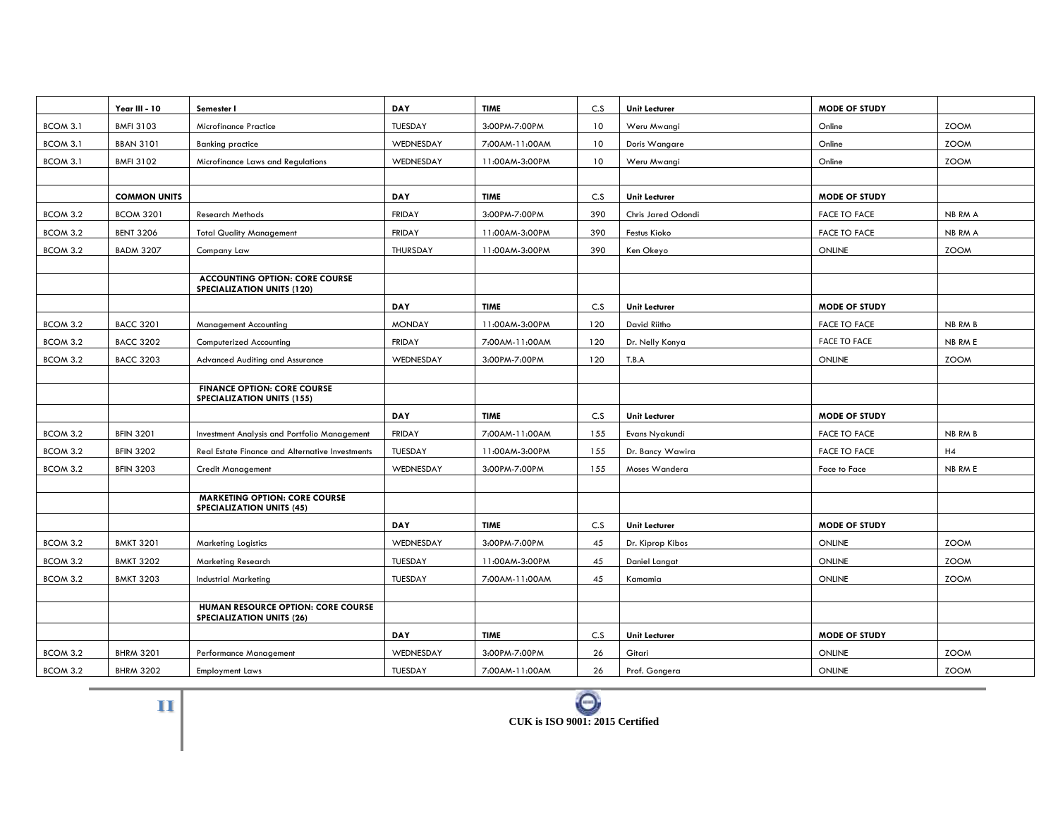|          | Year III - 10       | Semester I                                                                 | <b>DAY</b>    | <b>TIME</b>    | C.S | <b>Unit Lecturer</b> | <b>MODE OF STUDY</b> |             |
|----------|---------------------|----------------------------------------------------------------------------|---------------|----------------|-----|----------------------|----------------------|-------------|
| BCOM 3.1 | <b>BMFI 3103</b>    | <b>Microfinance Practice</b>                                               | TUESDAY       | 3:00PM-7:00PM  | 10  | Weru Mwangi          | Online               | <b>ZOOM</b> |
| BCOM 3.1 | <b>BBAN 3101</b>    | <b>Banking practice</b>                                                    | WEDNESDAY     | 7:00AM-11:00AM | 10  | Doris Wangare        | Online               | <b>ZOOM</b> |
| BCOM 3.1 | <b>BMFI 3102</b>    | Microfinance Laws and Regulations                                          | WEDNESDAY     | 11:00AM-3:00PM | 10  | Weru Mwangi          | Online               | <b>ZOOM</b> |
|          |                     |                                                                            |               |                |     |                      |                      |             |
|          | <b>COMMON UNITS</b> |                                                                            | <b>DAY</b>    | <b>TIME</b>    | C.S | <b>Unit Lecturer</b> | <b>MODE OF STUDY</b> |             |
| BCOM 3.2 | <b>BCOM 3201</b>    | <b>Research Methods</b>                                                    | <b>FRIDAY</b> | 3:00PM-7:00PM  | 390 | Chris Jared Odondi   | <b>FACE TO FACE</b>  | NB RM A     |
| BCOM 3.2 | <b>BENT 3206</b>    | <b>Total Quality Management</b>                                            | <b>FRIDAY</b> | 11:00AM-3:00PM | 390 | Festus Kioko         | <b>FACE TO FACE</b>  | NB RM A     |
| BCOM 3.2 | <b>BADM 3207</b>    | Company Law                                                                | THURSDAY      | 11:00AM-3:00PM | 390 | Ken Okeyo            | ONLINE               | <b>ZOOM</b> |
|          |                     |                                                                            |               |                |     |                      |                      |             |
|          |                     | <b>ACCOUNTING OPTION: CORE COURSE</b><br><b>SPECIALIZATION UNITS (120)</b> |               |                |     |                      |                      |             |
|          |                     |                                                                            | DAY           | <b>TIME</b>    | C.S | <b>Unit Lecturer</b> | <b>MODE OF STUDY</b> |             |
| BCOM 3.2 | <b>BACC 3201</b>    | <b>Management Accounting</b>                                               | <b>MONDAY</b> | 11:00AM-3:00PM | 120 | David Riitho         | <b>FACE TO FACE</b>  | NB RM B     |
| BCOM 3.2 | <b>BACC 3202</b>    | <b>Computerized Accounting</b>                                             | <b>FRIDAY</b> | 7:00AM-11:00AM | 120 | Dr. Nelly Konya      | <b>FACE TO FACE</b>  | NB RM E     |
| BCOM 3.2 | <b>BACC 3203</b>    | <b>Advanced Auditing and Assurance</b>                                     | WEDNESDAY     | 3:00PM-7:00PM  | 120 | T.B.A                | <b>ONLINE</b>        | <b>ZOOM</b> |
|          |                     |                                                                            |               |                |     |                      |                      |             |
|          |                     | <b>FINANCE OPTION: CORE COURSE</b><br><b>SPECIALIZATION UNITS (155)</b>    |               |                |     |                      |                      |             |
|          |                     |                                                                            | <b>DAY</b>    | <b>TIME</b>    | C.S | <b>Unit Lecturer</b> | <b>MODE OF STUDY</b> |             |
| BCOM 3.2 | <b>BFIN 3201</b>    | Investment Analysis and Portfolio Management                               | <b>FRIDAY</b> | 7:00AM-11:00AM | 155 | Evans Nyakundi       | <b>FACE TO FACE</b>  | NB RM B     |
| BCOM 3.2 | <b>BFIN 3202</b>    | Real Estate Finance and Alternative Investments                            | TUESDAY       | 11:00AM-3:00PM | 155 | Dr. Bancy Wawira     | <b>FACE TO FACE</b>  | H4          |
| BCOM 3.2 | <b>BFIN 3203</b>    | <b>Credit Management</b>                                                   | WEDNESDAY     | 3:00PM-7:00PM  | 155 | Moses Wandera        | Face to Face         | NB RM E     |
|          |                     |                                                                            |               |                |     |                      |                      |             |
|          |                     | <b>MARKETING OPTION: CORE COURSE</b><br><b>SPECIALIZATION UNITS (45)</b>   |               |                |     |                      |                      |             |
|          |                     |                                                                            | <b>DAY</b>    | <b>TIME</b>    | C.S | <b>Unit Lecturer</b> | <b>MODE OF STUDY</b> |             |
| BCOM 3.2 | <b>BMKT 3201</b>    | <b>Marketing Logistics</b>                                                 | WEDNESDAY     | 3:00PM-7:00PM  | 45  | Dr. Kiprop Kibos     | ONLINE               | <b>ZOOM</b> |
| BCOM 3.2 | <b>BMKT 3202</b>    | Marketing Research                                                         | TUESDAY       | 11:00AM-3:00PM | 45  | Daniel Langat        | <b>ONLINE</b>        | <b>ZOOM</b> |
| BCOM 3.2 | <b>BMKT 3203</b>    | <b>Industrial Marketing</b>                                                | TUESDAY       | 7:00AM-11:00AM | 45  | Kamamia              | <b>ONLINE</b>        | <b>ZOOM</b> |
|          |                     |                                                                            |               |                |     |                      |                      |             |
|          |                     | HUMAN RESOURCE OPTION: CORE COURSE<br><b>SPECIALIZATION UNITS (26)</b>     |               |                |     |                      |                      |             |
|          |                     |                                                                            | <b>DAY</b>    | <b>TIME</b>    | C.S | <b>Unit Lecturer</b> | <b>MODE OF STUDY</b> |             |
| BCOM 3.2 | <b>BHRM 3201</b>    | Performance Management                                                     | WEDNESDAY     | 3:00PM-7:00PM  | 26  | Gitari               | ONLINE               | <b>ZOOM</b> |
| BCOM 3.2 | <b>BHRM 3202</b>    | <b>Employment Laws</b>                                                     | TUESDAY       | 7:00AM-11:00AM | 26  | Prof. Gongera        | ONLINE               | <b>ZOOM</b> |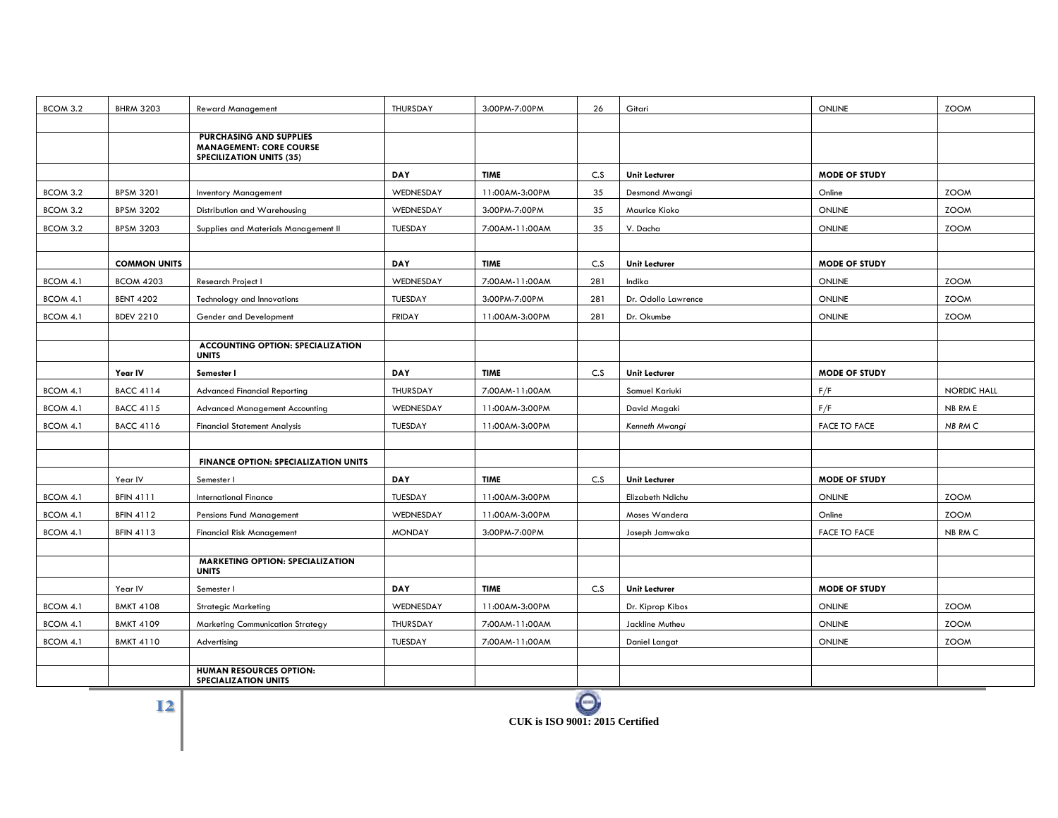| BCOM 3.2 | <b>BHRM 3203</b>    | <b>Reward Management</b>                                                                     | THURSDAY      | 3:00PM-7:00PM  | 26  | Gitari               | ONLINE               | <b>ZOOM</b> |
|----------|---------------------|----------------------------------------------------------------------------------------------|---------------|----------------|-----|----------------------|----------------------|-------------|
|          |                     |                                                                                              |               |                |     |                      |                      |             |
|          |                     | PURCHASING AND SUPPLIES<br><b>MANAGEMENT: CORE COURSE</b><br><b>SPECILIZATION UNITS (35)</b> |               |                |     |                      |                      |             |
|          |                     |                                                                                              | DAY           | <b>TIME</b>    | C.S | Unit Lecturer        | <b>MODE OF STUDY</b> |             |
| BCOM 3.2 | <b>BPSM 3201</b>    | <b>Inventory Management</b>                                                                  | WEDNESDAY     | 11:00AM-3:00PM | 35  | Desmond Mwangi       | Online               | <b>ZOOM</b> |
| BCOM 3.2 | <b>BPSM 3202</b>    | Distribution and Warehousing                                                                 | WEDNESDAY     | 3:00PM-7:00PM  | 35  | Maurice Kioko        | ONLINE               | <b>ZOOM</b> |
| BCOM 3.2 | <b>BPSM 3203</b>    | Supplies and Materials Management II                                                         | TUESDAY       | 7:00AM-11:00AM | 35  | V. Dacha             | ONLINE               | <b>ZOOM</b> |
|          |                     |                                                                                              |               |                |     |                      |                      |             |
|          | <b>COMMON UNITS</b> |                                                                                              | DAY           | <b>TIME</b>    | C.S | Unit Lecturer        | <b>MODE OF STUDY</b> |             |
| BCOM 4.1 | <b>BCOM 4203</b>    | <b>Research Project I</b>                                                                    | WEDNESDAY     | 7:00AM-11:00AM | 281 | Indika               | ONLINE               | <b>ZOOM</b> |
| BCOM 4.1 | <b>BENT 4202</b>    | Technology and Innovations                                                                   | TUESDAY       | 3:00PM-7:00PM  | 281 | Dr. Odollo Lawrence  | <b>ONLINE</b>        | <b>ZOOM</b> |
| BCOM 4.1 | <b>BDEV 2210</b>    | Gender and Development                                                                       | <b>FRIDAY</b> | 11:00AM-3:00PM | 281 | Dr. Okumbe           | ONLINE               | <b>ZOOM</b> |
|          |                     |                                                                                              |               |                |     |                      |                      |             |
|          |                     | <b>ACCOUNTING OPTION: SPECIALIZATION</b><br><b>UNITS</b>                                     |               |                |     |                      |                      |             |
|          | Year IV             | Semester I                                                                                   | DAY           | <b>TIME</b>    | C.S | <b>Unit Lecturer</b> | <b>MODE OF STUDY</b> |             |
| BCOM 4.1 | <b>BACC 4114</b>    | <b>Advanced Financial Reporting</b>                                                          | THURSDAY      | 7:00AM-11:00AM |     | Samuel Kariuki       | F/F                  | NORDIC HALL |
| BCOM 4.1 | <b>BACC 4115</b>    | <b>Advanced Management Accounting</b>                                                        | WEDNESDAY     | 11:00AM-3:00PM |     | David Magaki         | F/F                  | NB RM E     |
| BCOM 4.1 | <b>BACC 4116</b>    | <b>Financial Statement Analysis</b>                                                          | TUESDAY       | 11:00AM-3:00PM |     | Kenneth Mwangi       | <b>FACE TO FACE</b>  | NB RM C     |
|          |                     |                                                                                              |               |                |     |                      |                      |             |
|          |                     | <b>FINANCE OPTION: SPECIALIZATION UNITS</b>                                                  |               |                |     |                      |                      |             |
|          | Year IV             | Semester I                                                                                   | <b>DAY</b>    | <b>TIME</b>    | C.S | <b>Unit Lecturer</b> | <b>MODE OF STUDY</b> |             |
| BCOM 4.1 | <b>BFIN 4111</b>    | <b>International Finance</b>                                                                 | TUESDAY       | 11:00AM-3:00PM |     | Elizabeth Ndichu     | ONLINE               | <b>ZOOM</b> |
| BCOM 4.1 | <b>BFIN 4112</b>    | Pensions Fund Management                                                                     | WEDNESDAY     | 11:00AM-3:00PM |     | Moses Wandera        | Online               | <b>ZOOM</b> |
| BCOM 4.1 | <b>BFIN 4113</b>    | <b>Financial Risk Management</b>                                                             | <b>MONDAY</b> | 3:00PM-7:00PM  |     | Joseph Jamwaka       | <b>FACE TO FACE</b>  | NB RM C     |
|          |                     |                                                                                              |               |                |     |                      |                      |             |
|          |                     | <b>MARKETING OPTION: SPECIALIZATION</b><br><b>UNITS</b>                                      |               |                |     |                      |                      |             |
|          | Year IV             | Semester I                                                                                   | DAY           | <b>TIME</b>    | C.S | Unit Lecturer        | <b>MODE OF STUDY</b> |             |
| BCOM 4.1 | <b>BMKT 4108</b>    | <b>Strategic Marketing</b>                                                                   | WEDNESDAY     | 11:00AM-3:00PM |     | Dr. Kiprop Kibos     | <b>ONLINE</b>        | <b>ZOOM</b> |
| BCOM 4.1 | <b>BMKT 4109</b>    | <b>Marketing Communication Strategy</b>                                                      | THURSDAY      | 7:00AM-11:00AM |     | Jackline Mutheu      | ONLINE               | <b>ZOOM</b> |
| BCOM 4.1 | <b>BMKT 4110</b>    | Advertising                                                                                  | TUESDAY       | 7:00AM-11:00AM |     | Daniel Langat        | ONLINE               | <b>ZOOM</b> |
|          |                     |                                                                                              |               |                |     |                      |                      |             |
|          |                     | <b>HUMAN RESOURCES OPTION:</b><br><b>SPECIALIZATION UNITS</b>                                |               |                |     |                      |                      |             |

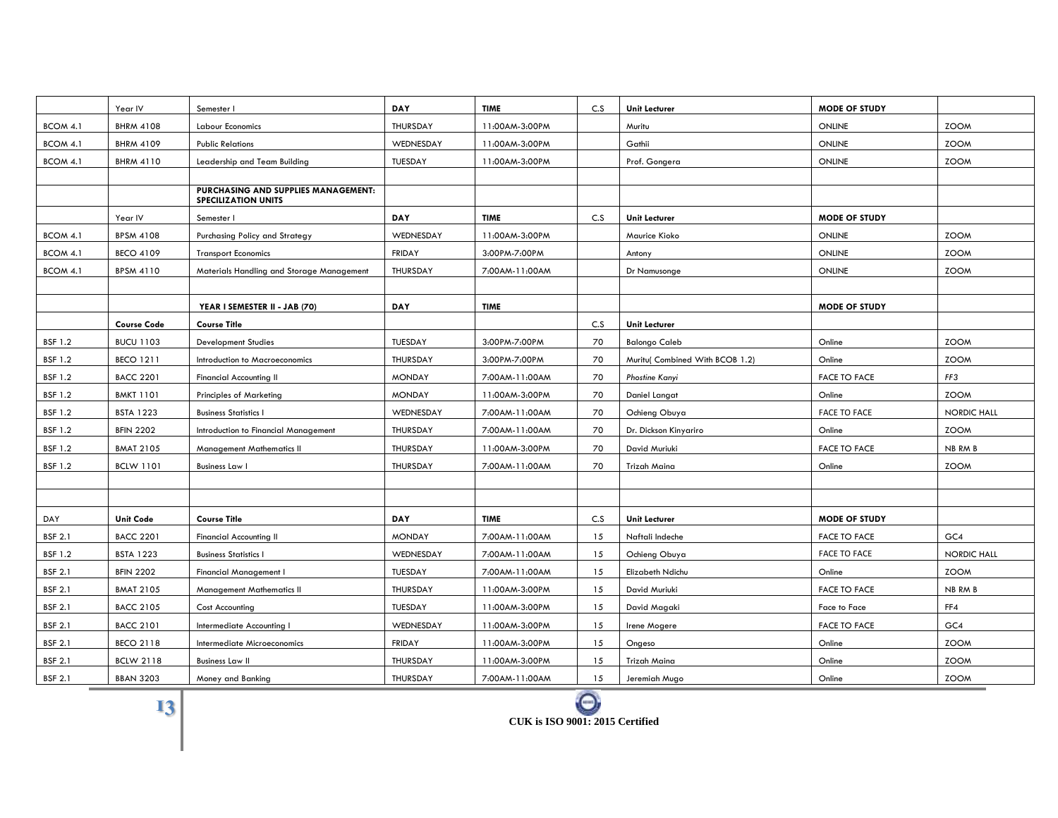|                | Year IV            | Semester I                                                        | <b>DAY</b>    | <b>TIME</b>    | C.S | <b>Unit Lecturer</b>            | <b>MODE OF STUDY</b> |             |
|----------------|--------------------|-------------------------------------------------------------------|---------------|----------------|-----|---------------------------------|----------------------|-------------|
| BCOM 4.1       | <b>BHRM 4108</b>   | <b>Labour Economics</b>                                           | THURSDAY      | 11:00AM-3:00PM |     | Muritu                          | <b>ONLINE</b>        | <b>ZOOM</b> |
| BCOM 4.1       | <b>BHRM 4109</b>   | <b>Public Relations</b>                                           | WEDNESDAY     | 11:00AM-3:00PM |     | Gathii                          | <b>ONLINE</b>        | <b>ZOOM</b> |
| BCOM 4.1       | <b>BHRM 4110</b>   | Leadership and Team Building                                      | TUESDAY       | 11:00AM-3:00PM |     | Prof. Gongera                   | <b>ONLINE</b>        | <b>ZOOM</b> |
|                |                    |                                                                   |               |                |     |                                 |                      |             |
|                |                    | PURCHASING AND SUPPLIES MANAGEMENT:<br><b>SPECILIZATION UNITS</b> |               |                |     |                                 |                      |             |
|                | Year IV            | Semester I                                                        | <b>DAY</b>    | <b>TIME</b>    | C.S | <b>Unit Lecturer</b>            | <b>MODE OF STUDY</b> |             |
| BCOM 4.1       | <b>BPSM 4108</b>   | Purchasing Policy and Strategy                                    | WEDNESDAY     | 11:00AM-3:00PM |     | Maurice Kioko                   | <b>ONLINE</b>        | <b>ZOOM</b> |
| BCOM 4.1       | <b>BECO 4109</b>   | <b>Transport Economics</b>                                        | <b>FRIDAY</b> | 3:00PM-7:00PM  |     | Antony                          | <b>ONLINE</b>        | <b>ZOOM</b> |
| BCOM 4.1       | <b>BPSM 4110</b>   | Materials Handling and Storage Management                         | THURSDAY      | 7:00AM-11:00AM |     | Dr Namusonge                    | <b>ONLINE</b>        | <b>ZOOM</b> |
|                |                    |                                                                   |               |                |     |                                 |                      |             |
|                |                    | YEAR I SEMESTER II - JAB (70)                                     | <b>DAY</b>    | <b>TIME</b>    |     |                                 | <b>MODE OF STUDY</b> |             |
|                | <b>Course Code</b> | <b>Course Title</b>                                               |               |                | C.S | Unit Lecturer                   |                      |             |
| <b>BSF 1.2</b> | <b>BUCU 1103</b>   | <b>Development Studies</b>                                        | TUESDAY       | 3:00PM-7:00PM  | 70  | <b>Balongo Caleb</b>            | Online               | <b>ZOOM</b> |
| <b>BSF 1.2</b> | <b>BECO 1211</b>   | Introduction to Macroeconomics                                    | THURSDAY      | 3:00PM-7:00PM  | 70  | Muritu( Combined With BCOB 1.2) | Online               | <b>ZOOM</b> |
| <b>BSF 1.2</b> | <b>BACC 2201</b>   | <b>Financial Accounting II</b>                                    | <b>MONDAY</b> | 7:00AM-11:00AM | 70  | <b>Phostine Kanyi</b>           | <b>FACE TO FACE</b>  | FF3         |
| <b>BSF 1.2</b> | <b>BMKT 1101</b>   | <b>Principles of Marketing</b>                                    | <b>MONDAY</b> | 11:00AM-3:00PM | 70  | Daniel Langat                   | Online               | <b>ZOOM</b> |
| <b>BSF 1.2</b> | <b>BSTA 1223</b>   | <b>Business Statistics I</b>                                      | WEDNESDAY     | 7:00AM-11:00AM | 70  | Ochieng Obuya                   | <b>FACE TO FACE</b>  | NORDIC HALL |
| <b>BSF 1.2</b> | <b>BFIN 2202</b>   | Introduction to Financial Management                              | THURSDAY      | 7:00AM-11:00AM | 70  | Dr. Dickson Kinyariro           | Online               | <b>ZOOM</b> |
| <b>BSF 1.2</b> | <b>BMAT 2105</b>   | <b>Management Mathematics II</b>                                  | THURSDAY      | 11:00AM-3:00PM | 70  | David Muriuki                   | <b>FACE TO FACE</b>  | NB RM B     |
| <b>BSF 1.2</b> | <b>BCLW 1101</b>   | <b>Business Law I</b>                                             | THURSDAY      | 7:00AM-11:00AM | 70  | Trizah Maina                    | Online               | <b>ZOOM</b> |
|                |                    |                                                                   |               |                |     |                                 |                      |             |
|                |                    |                                                                   |               |                |     |                                 |                      |             |
| DAY            | <b>Unit Code</b>   | <b>Course Title</b>                                               | <b>DAY</b>    | <b>TIME</b>    | C.S | <b>Unit Lecturer</b>            | <b>MODE OF STUDY</b> |             |
| <b>BSF 2.1</b> | <b>BACC 2201</b>   | <b>Financial Accounting II</b>                                    | <b>MONDAY</b> | 7:00AM-11:00AM | 15  | Naftali Indeche                 | <b>FACE TO FACE</b>  | GC4         |
| <b>BSF 1.2</b> | <b>BSTA 1223</b>   | <b>Business Statistics I</b>                                      | WEDNESDAY     | 7:00AM-11:00AM | 15  | Ochieng Obuya                   | FACE TO FACE         | NORDIC HALL |
| <b>BSF 2.1</b> | <b>BFIN 2202</b>   | Financial Management I                                            | TUESDAY       | 7:00AM-11:00AM | 15  | Elizabeth Ndichu                | Online               | <b>ZOOM</b> |
| <b>BSF 2.1</b> | <b>BMAT 2105</b>   | <b>Management Mathematics II</b>                                  | THURSDAY      | 11:00AM-3:00PM | 15  | David Muriuki                   | <b>FACE TO FACE</b>  | NB RM B     |
| <b>BSF 2.1</b> | <b>BACC 2105</b>   | <b>Cost Accounting</b>                                            | TUESDAY       | 11:00AM-3:00PM | 15  | David Magaki                    | Face to Face         | FF4         |
| <b>BSF 2.1</b> | <b>BACC 2101</b>   | Intermediate Accounting I                                         | WEDNESDAY     | 11:00AM-3:00PM | 15  | Irene Mogere                    | <b>FACE TO FACE</b>  | GC4         |
| <b>BSF 2.1</b> | <b>BECO 2118</b>   | Intermediate Microeconomics                                       | <b>FRIDAY</b> | 11:00AM-3:00PM | 15  | Ongeso                          | Online               | <b>ZOOM</b> |
| <b>BSF 2.1</b> | <b>BCLW 2118</b>   | <b>Business Law II</b>                                            | THURSDAY      | 11:00AM-3:00PM | 15  | Trizah Maina                    | Online               | <b>ZOOM</b> |
| <b>BSF 2.1</b> | <b>BBAN 3203</b>   | Money and Banking                                                 | THURSDAY      | 7:00AM-11:00AM | 15  | Jeremiah Mugo                   | Online               | <b>ZOOM</b> |

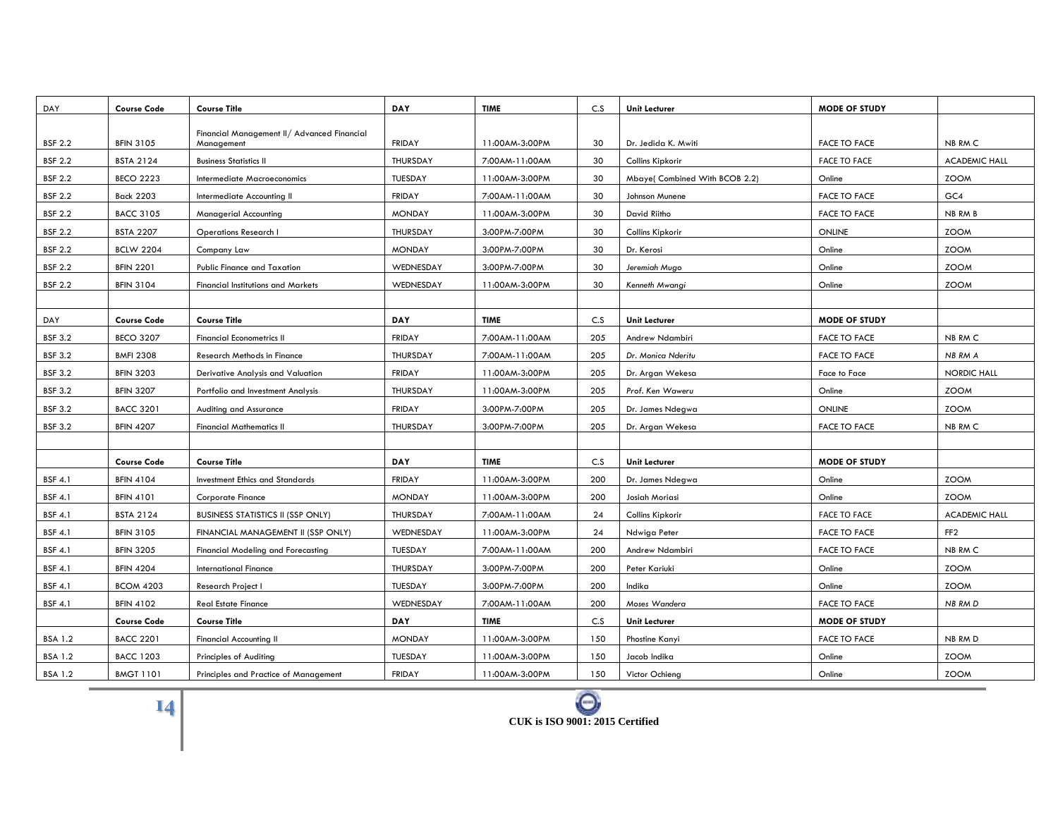| DAY            | <b>Course Code</b> | <b>Course Title</b>                                       | DAY           | <b>TIME</b>    | C.S | <b>Unit Lecturer</b>           | <b>MODE OF STUDY</b> |                      |
|----------------|--------------------|-----------------------------------------------------------|---------------|----------------|-----|--------------------------------|----------------------|----------------------|
|                |                    |                                                           |               |                |     |                                |                      |                      |
| <b>BSF 2.2</b> | <b>BFIN 3105</b>   | Financial Management II/ Advanced Financial<br>Management | <b>FRIDAY</b> | 11:00AM-3:00PM | 30  | Dr. Jedida K. Mwiti            | <b>FACE TO FACE</b>  | NB RM C              |
| <b>BSF 2.2</b> | <b>BSTA 2124</b>   | <b>Business Statistics II</b>                             | THURSDAY      | 7:00AM-11:00AM | 30  | Collins Kipkorir               | <b>FACE TO FACE</b>  | <b>ACADEMIC HALL</b> |
| <b>BSF 2.2</b> | <b>BECO 2223</b>   | Intermediate Macroeconomics                               | TUESDAY       | 11:00AM-3:00PM | 30  | Mbaye( Combined With BCOB 2.2) | Online               | <b>ZOOM</b>          |
| <b>BSF 2.2</b> | <b>Back 2203</b>   | Intermediate Accounting II                                | <b>FRIDAY</b> | 7:00AM-11:00AM | 30  | Johnson Munene                 | <b>FACE TO FACE</b>  | GC4                  |
| <b>BSF 2.2</b> | <b>BACC 3105</b>   | Managerial Accounting                                     | <b>MONDAY</b> | 11:00AM-3:00PM | 30  | David Riitho                   | <b>FACE TO FACE</b>  | NB RM B              |
| <b>BSF 2.2</b> | <b>BSTA 2207</b>   | <b>Operations Research I</b>                              | THURSDAY      | 3:00PM-7:00PM  | 30  | Collins Kipkorir               | <b>ONLINE</b>        | <b>ZOOM</b>          |
| <b>BSF 2.2</b> | <b>BCLW 2204</b>   | Company Law                                               | <b>MONDAY</b> | 3:00PM-7:00PM  | 30  | Dr. Kerosi                     | Online               | <b>ZOOM</b>          |
| <b>BSF 2.2</b> | <b>BFIN 2201</b>   | <b>Public Finance and Taxation</b>                        | WEDNESDAY     | 3:00PM-7:00PM  | 30  | Jeremiah Mugo                  | Online               | <b>ZOOM</b>          |
| <b>BSF 2.2</b> | <b>BFIN 3104</b>   | <b>Financial Institutions and Markets</b>                 | WEDNESDAY     | 11:00AM-3:00PM | 30  | Kenneth Mwangi                 | Online               | <b>ZOOM</b>          |
|                |                    |                                                           |               |                |     |                                |                      |                      |
| DAY            | <b>Course Code</b> | <b>Course Title</b>                                       | DAY           | <b>TIME</b>    | C.S | <b>Unit Lecturer</b>           | <b>MODE OF STUDY</b> |                      |
| <b>BSF 3.2</b> | <b>BECO 3207</b>   | <b>Financial Econometrics II</b>                          | <b>FRIDAY</b> | 7:00AM-11:00AM | 205 | Andrew Ndambiri                | <b>FACE TO FACE</b>  | NB RM C              |
| <b>BSF 3.2</b> | <b>BMFI 2308</b>   | Research Methods in Finance                               | THURSDAY      | 7:00AM-11:00AM | 205 | Dr. Monica Nderitu             | <b>FACE TO FACE</b>  | NB RM A              |
| <b>BSF 3.2</b> | <b>BFIN 3203</b>   | Derivative Analysis and Valuation                         | <b>FRIDAY</b> | 11:00AM-3:00PM | 205 | Dr. Argan Wekesa               | Face to Face         | <b>NORDIC HALL</b>   |
| <b>BSF 3.2</b> | <b>BFIN 3207</b>   | Portfolio and Investment Analysis                         | THURSDAY      | 11:00AM-3:00PM | 205 | Prof. Ken Waweru               | Online               | <b>ZOOM</b>          |
| <b>BSF 3.2</b> | <b>BACC 3201</b>   | Auditing and Assurance                                    | <b>FRIDAY</b> | 3:00PM-7:00PM  | 205 | Dr. James Ndegwa               | <b>ONLINE</b>        | <b>ZOOM</b>          |
| <b>BSF 3.2</b> | <b>BFIN 4207</b>   | <b>Financial Mathematics II</b>                           | THURSDAY      | 3:00PM-7:00PM  | 205 | Dr. Argan Wekesa               | <b>FACE TO FACE</b>  | NB RM C              |
|                |                    |                                                           |               |                |     |                                |                      |                      |
|                | <b>Course Code</b> | <b>Course Title</b>                                       | DAY           | <b>TIME</b>    | C.S | <b>Unit Lecturer</b>           | <b>MODE OF STUDY</b> |                      |
| <b>BSF 4.1</b> | <b>BFIN 4104</b>   | <b>Investment Ethics and Standards</b>                    | <b>FRIDAY</b> | 11:00AM-3:00PM | 200 | Dr. James Ndegwa               | Online               | <b>ZOOM</b>          |
| <b>BSF 4.1</b> | <b>BFIN 4101</b>   | <b>Corporate Finance</b>                                  | <b>MONDAY</b> | 11:00AM-3:00PM | 200 | Josiah Moriasi                 | Online               | <b>ZOOM</b>          |
| <b>BSF 4.1</b> | <b>BSTA 2124</b>   | <b>BUSINESS STATISTICS II (SSP ONLY)</b>                  | THURSDAY      | 7:00AM-11:00AM | 24  | Collins Kipkorir               | <b>FACE TO FACE</b>  | <b>ACADEMIC HALL</b> |
| <b>BSF 4.1</b> | <b>BFIN 3105</b>   | FINANCIAL MANAGEMENT II (SSP ONLY)                        | WEDNESDAY     | 11:00AM-3:00PM | 24  | Ndwiga Peter                   | <b>FACE TO FACE</b>  | FF <sub>2</sub>      |
| <b>BSF 4.1</b> | <b>BFIN 3205</b>   | <b>Financial Modeling and Forecasting</b>                 | TUESDAY       | 7:00AM-11:00AM | 200 | Andrew Ndambiri                | <b>FACE TO FACE</b>  | NB RM C              |
| <b>BSF 4.1</b> | <b>BFIN 4204</b>   | <b>International Finance</b>                              | THURSDAY      | 3:00PM-7:00PM  | 200 | Peter Kariuki                  | Online               | <b>ZOOM</b>          |
| <b>BSF 4.1</b> | <b>BCOM 4203</b>   | Research Project I                                        | TUESDAY       | 3:00PM-7:00PM  | 200 | Indika                         | Online               | <b>ZOOM</b>          |
| <b>BSF 4.1</b> | <b>BFIN 4102</b>   | <b>Real Estate Finance</b>                                | WEDNESDAY     | 7:00AM-11:00AM | 200 | Moses Wandera                  | <b>FACE TO FACE</b>  | NB RM D              |
|                | <b>Course Code</b> | <b>Course Title</b>                                       | DAY           | <b>TIME</b>    | C.S | <b>Unit Lecturer</b>           | <b>MODE OF STUDY</b> |                      |
| <b>BSA 1.2</b> | <b>BACC 2201</b>   | <b>Financial Accounting II</b>                            | <b>MONDAY</b> | 11:00AM-3:00PM | 150 | Phostine Kanyi                 | <b>FACE TO FACE</b>  | NB RM D              |
| <b>BSA 1.2</b> | <b>BACC 1203</b>   | Principles of Auditing                                    | TUESDAY       | 11:00AM-3:00PM | 150 | Jacob Indika                   | Online               | <b>ZOOM</b>          |
| <b>BSA 1.2</b> | <b>BMGT 1101</b>   | Principles and Practice of Management                     | FRIDAY        | 11:00AM-3:00PM | 150 | Victor Ochieng                 | Online               | <b>ZOOM</b>          |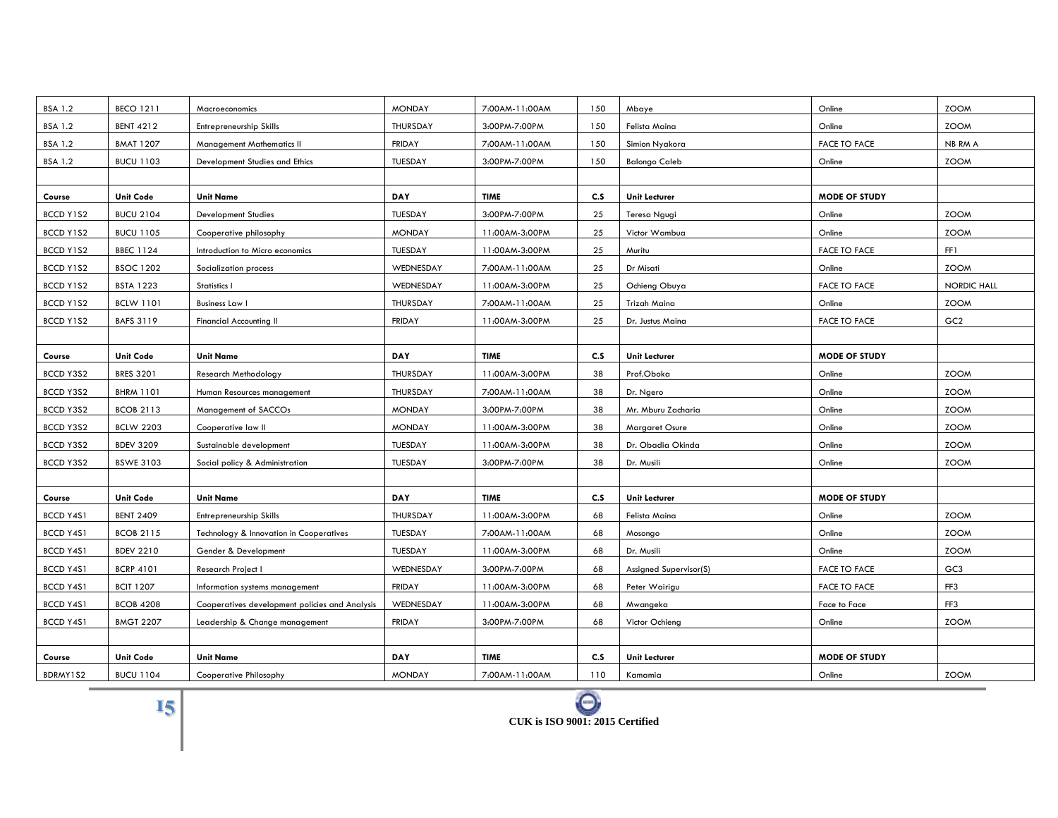| <b>BSA 1.2</b> | <b>BECO 1211</b> | Macroeconomics                                 | <b>MONDAY</b> | 7:00AM-11:00AM | 150 | Mbaye                  | Online               | <b>ZOOM</b>        |
|----------------|------------------|------------------------------------------------|---------------|----------------|-----|------------------------|----------------------|--------------------|
| <b>BSA 1.2</b> | <b>BENT 4212</b> | Entrepreneurship Skills                        | THURSDAY      | 3:00PM-7:00PM  | 150 | Felista Maina          | Online               | <b>ZOOM</b>        |
| <b>BSA 1.2</b> | <b>BMAT 1207</b> | Management Mathematics II                      | <b>FRIDAY</b> | 7:00AM-11:00AM | 150 | Simion Nyakora         | <b>FACE TO FACE</b>  | NB RM A            |
| <b>BSA 1.2</b> | <b>BUCU 1103</b> | Development Studies and Ethics                 | TUESDAY       | 3:00PM-7:00PM  | 150 | <b>Balongo Caleb</b>   | Online               | <b>ZOOM</b>        |
|                |                  |                                                |               |                |     |                        |                      |                    |
| Course         | <b>Unit Code</b> | <b>Unit Name</b>                               | <b>DAY</b>    | <b>TIME</b>    | C.S | <b>Unit Lecturer</b>   | <b>MODE OF STUDY</b> |                    |
| BCCD Y1S2      | <b>BUCU 2104</b> | <b>Development Studies</b>                     | TUESDAY       | 3:00PM-7:00PM  | 25  | Teresa Ngugi           | Online               | <b>ZOOM</b>        |
| BCCD Y1S2      | <b>BUCU 1105</b> | Cooperative philosophy                         | <b>MONDAY</b> | 11:00AM-3:00PM | 25  | Victor Wambua          | Online               | <b>ZOOM</b>        |
| BCCD Y1S2      | <b>BBEC 1124</b> | Introduction to Micro economics                | TUESDAY       | 11:00AM-3:00PM | 25  | Muritu                 | <b>FACE TO FACE</b>  | FF1                |
| BCCD Y1S2      | <b>BSOC 1202</b> | Socialization process                          | WEDNESDAY     | 7:00AM-11:00AM | 25  | Dr Misati              | Online               | <b>ZOOM</b>        |
| BCCD Y1S2      | <b>BSTA 1223</b> | Statistics I                                   | WEDNESDAY     | 11:00AM-3:00PM | 25  | Ochieng Obuya          | <b>FACE TO FACE</b>  | <b>NORDIC HALL</b> |
| BCCD Y1S2      | <b>BCLW 1101</b> | <b>Business Law I</b>                          | THURSDAY      | 7:00AM-11:00AM | 25  | Trizah Maina           | Online               | <b>ZOOM</b>        |
| BCCD Y1S2      | <b>BAFS 3119</b> | <b>Financial Accounting II</b>                 | <b>FRIDAY</b> | 11:00AM-3:00PM | 25  | Dr. Justus Maina       | <b>FACE TO FACE</b>  | GC <sub>2</sub>    |
|                |                  |                                                |               |                |     |                        |                      |                    |
| Course         | <b>Unit Code</b> | <b>Unit Name</b>                               | <b>DAY</b>    | <b>TIME</b>    | C.S | <b>Unit Lecturer</b>   | <b>MODE OF STUDY</b> |                    |
| BCCD Y3S2      | <b>BRES 3201</b> | Research Methodology                           | THURSDAY      | 11:00AM-3:00PM | 38  | Prof.Oboka             | Online               | <b>ZOOM</b>        |
| BCCD Y3S2      | <b>BHRM 1101</b> | Human Resources management                     | THURSDAY      | 7:00AM-11:00AM | 38  | Dr. Ngero              | Online               | <b>ZOOM</b>        |
| BCCD Y3S2      | <b>BCOB 2113</b> | Management of SACCOs                           | <b>MONDAY</b> | 3:00PM-7:00PM  | 38  | Mr. Mburu Zacharia     | Online               | <b>ZOOM</b>        |
| BCCD Y3S2      | <b>BCLW 2203</b> | Cooperative law II                             | <b>MONDAY</b> | 11:00AM-3:00PM | 38  | Margaret Osure         | Online               | <b>ZOOM</b>        |
| BCCD Y3S2      | <b>BDEV 3209</b> | Sustainable development                        | TUESDAY       | 11:00AM-3:00PM | 38  | Dr. Obadia Okinda      | Online               | <b>ZOOM</b>        |
| BCCD Y3S2      | <b>BSWE 3103</b> | Social policy & Administration                 | TUESDAY       | 3:00PM-7:00PM  | 38  | Dr. Musili             | Online               | <b>ZOOM</b>        |
|                |                  |                                                |               |                |     |                        |                      |                    |
| Course         | <b>Unit Code</b> | <b>Unit Name</b>                               | <b>DAY</b>    | <b>TIME</b>    | C.S | <b>Unit Lecturer</b>   | <b>MODE OF STUDY</b> |                    |
| BCCD Y4S1      | <b>BENT 2409</b> | Entrepreneurship Skills                        | THURSDAY      | 11:00AM-3:00PM | 68  | Felista Maina          | Online               | <b>ZOOM</b>        |
| BCCD Y4S1      | <b>BCOB 2115</b> | Technology & Innovation in Cooperatives        | TUESDAY       | 7:00AM-11:00AM | 68  | Mosongo                | Online               | <b>ZOOM</b>        |
| BCCD Y4S1      | <b>BDEV 2210</b> | Gender & Development                           | TUESDAY       | 11:00AM-3:00PM | 68  | Dr. Musili             | Online               | <b>ZOOM</b>        |
| BCCD Y4S1      | <b>BCRP 4101</b> | Research Project I                             | WEDNESDAY     | 3:00PM-7:00PM  | 68  | Assigned Supervisor(S) | <b>FACE TO FACE</b>  | GC <sub>3</sub>    |
| BCCD Y4S1      | <b>BCIT 1207</b> | Information systems management                 | <b>FRIDAY</b> | 11:00AM-3:00PM | 68  | Peter Wairigu          | <b>FACE TO FACE</b>  | FF3                |
| BCCD Y4S1      | <b>BCOB 4208</b> | Cooperatives development policies and Analysis | WEDNESDAY     | 11:00AM-3:00PM | 68  | Mwangeka               | Face to Face         | FF3                |
| BCCD Y4S1      | <b>BMGT 2207</b> | Leadership & Change management                 | <b>FRIDAY</b> | 3:00PM-7:00PM  | 68  | Victor Ochieng         | Online               | <b>ZOOM</b>        |
|                |                  |                                                |               |                |     |                        |                      |                    |
| Course         | Unit Code        | <b>Unit Name</b>                               | <b>DAY</b>    | <b>TIME</b>    | C.S | <b>Unit Lecturer</b>   | <b>MODE OF STUDY</b> |                    |
| BDRMY1S2       | <b>BUCU 1104</b> | Cooperative Philosophy                         | <b>MONDAY</b> | 7:00AM-11:00AM | 110 | Kamamia                | Online               | <b>ZOOM</b>        |

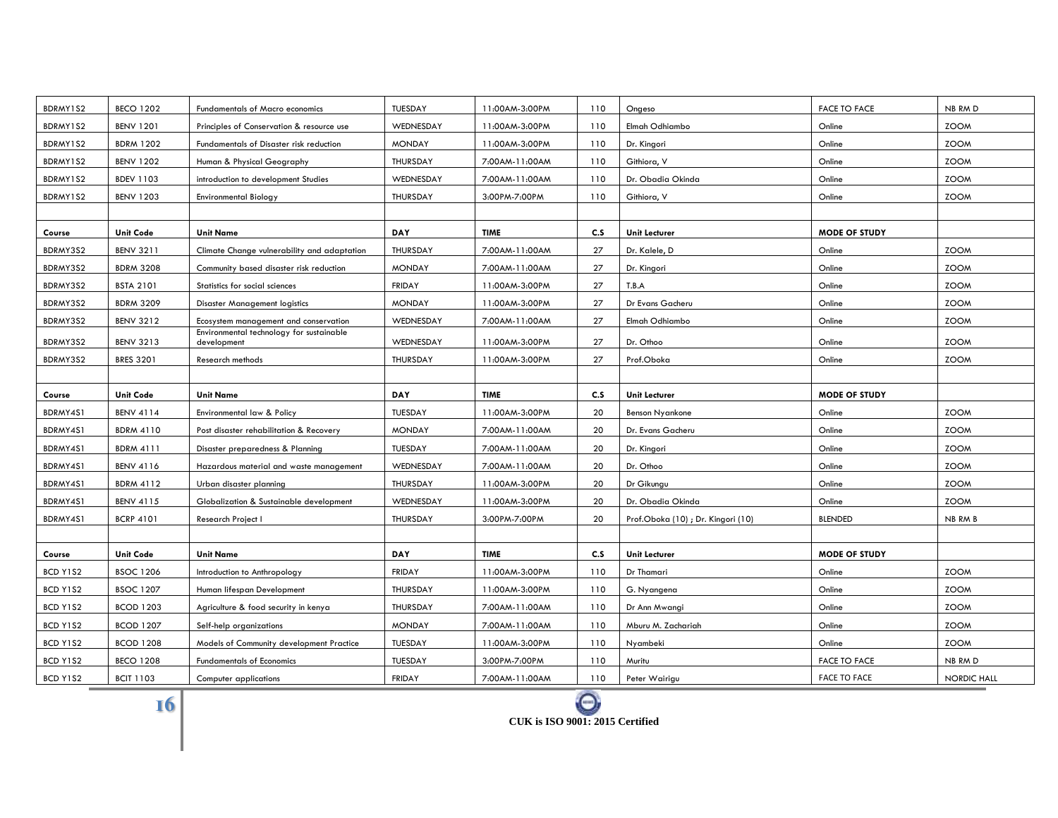| BDRMY1S2 | <b>BECO 1202</b> | Fundamentals of Macro economics                         | TUESDAY       | 11:00AM-3:00PM | 110 | Ongeso                            | <b>FACE TO FACE</b>  | NB RM D     |
|----------|------------------|---------------------------------------------------------|---------------|----------------|-----|-----------------------------------|----------------------|-------------|
| BDRMY1S2 | <b>BENV 1201</b> | Principles of Conservation & resource use               | WEDNESDAY     | 11:00AM-3:00PM | 110 | Elmah Odhiambo                    | Online               | <b>ZOOM</b> |
| BDRMY1S2 | <b>BDRM 1202</b> | Fundamentals of Disaster risk reduction                 | <b>MONDAY</b> | 11:00AM-3:00PM | 110 | Dr. Kingori                       | Online               | <b>ZOOM</b> |
| BDRMY1S2 | <b>BENV 1202</b> | Human & Physical Geography                              | THURSDAY      | 7:00AM-11:00AM | 110 | Githiora, V                       | Online               | <b>ZOOM</b> |
| BDRMY1S2 | <b>BDEV 1103</b> | introduction to development Studies                     | WEDNESDAY     | 7:00AM-11:00AM | 110 | Dr. Obadia Okinda                 | Online               | <b>ZOOM</b> |
| BDRMY1S2 | <b>BENV 1203</b> | <b>Environmental Biology</b>                            | THURSDAY      | 3:00PM-7:00PM  | 110 | Githiora, V                       | Online               | <b>ZOOM</b> |
|          |                  |                                                         |               |                |     |                                   |                      |             |
| Course   | <b>Unit Code</b> | <b>Unit Name</b>                                        | DAY           | <b>TIME</b>    | c.s | <b>Unit Lecturer</b>              | <b>MODE OF STUDY</b> |             |
| BDRMY3S2 | <b>BENV 3211</b> | Climate Change vulnerability and adaptation             | THURSDAY      | 7:00AM-11:00AM | 27  | Dr. Kalele, D                     | Online               | <b>ZOOM</b> |
| BDRMY3S2 | <b>BDRM 3208</b> | Community based disaster risk reduction                 | <b>MONDAY</b> | 7:00AM-11:00AM | 27  | Dr. Kingori                       | Online               | <b>ZOOM</b> |
| BDRMY3S2 | <b>BSTA 2101</b> | Statistics for social sciences                          | <b>FRIDAY</b> | 11:00AM-3:00PM | 27  | T.B.A                             | Online               | <b>ZOOM</b> |
| BDRMY3S2 | <b>BDRM 3209</b> | <b>Disaster Management logistics</b>                    | <b>MONDAY</b> | 11:00AM-3:00PM | 27  | Dr Evans Gacheru                  | Online               | <b>ZOOM</b> |
| BDRMY3S2 | <b>BENV 3212</b> | Ecosystem management and conservation                   | WEDNESDAY     | 7:00AM-11:00AM | 27  | Elmah Odhiambo                    | Online               | <b>ZOOM</b> |
| BDRMY3S2 | <b>BENV 3213</b> | Environmental technology for sustainable<br>development | WEDNESDAY     | 11:00AM-3:00PM | 27  | Dr. Othoo                         | Online               | <b>ZOOM</b> |
| BDRMY3S2 | <b>BRES 3201</b> | Research methods                                        | THURSDAY      | 11:00AM-3:00PM | 27  | Prof.Oboka                        | Online               | <b>ZOOM</b> |
|          |                  |                                                         |               |                |     |                                   |                      |             |
|          |                  |                                                         |               |                |     |                                   |                      |             |
| Course   | <b>Unit Code</b> | <b>Unit Name</b>                                        | DAY           | <b>TIME</b>    | C.S | <b>Unit Lecturer</b>              | <b>MODE OF STUDY</b> |             |
| BDRMY4S1 | <b>BENV 4114</b> | Environmental law & Policy                              | TUESDAY       | 11:00AM-3:00PM | 20  | <b>Benson Nyankone</b>            | Online               | <b>ZOOM</b> |
| BDRMY4S1 | <b>BDRM 4110</b> | Post disaster rehabilitation & Recovery                 | <b>MONDAY</b> | 7:00AM-11:00AM | 20  | Dr. Evans Gacheru                 | Online               | <b>ZOOM</b> |
| BDRMY4S1 | <b>BDRM 4111</b> | Disaster preparedness & Planning                        | TUESDAY       | 7:00AM-11:00AM | 20  | Dr. Kingori                       | Online               | <b>ZOOM</b> |
| BDRMY4S1 | <b>BENV 4116</b> | Hazardous material and waste management                 | WEDNESDAY     | 7:00AM-11:00AM | 20  | Dr. Othoo                         | Online               | <b>ZOOM</b> |
| BDRMY4S1 | <b>BDRM 4112</b> | Urban disaster planning                                 | THURSDAY      | 11:00AM-3:00PM | 20  | Dr Gikungu                        | Online               | <b>ZOOM</b> |
| BDRMY4S1 | <b>BENV 4115</b> | Globalization & Sustainable development                 | WEDNESDAY     | 11:00AM-3:00PM | 20  | Dr. Obadia Okinda                 | Online               | <b>ZOOM</b> |
| BDRMY4S1 | <b>BCRP 4101</b> | Research Project I                                      | THURSDAY      | 3:00PM-7:00PM  | 20  | Prof.Oboka (10); Dr. Kingori (10) | <b>BLENDED</b>       | NB RM B     |
|          |                  |                                                         |               |                |     |                                   |                      |             |
| Course   | <b>Unit Code</b> | <b>Unit Name</b>                                        | DAY           | <b>TIME</b>    | c.s | <b>Unit Lecturer</b>              | <b>MODE OF STUDY</b> |             |
| BCD Y1S2 | <b>BSOC 1206</b> | Introduction to Anthropology                            | <b>FRIDAY</b> | 11:00AM-3:00PM | 110 | Dr Thamari                        | Online               | <b>ZOOM</b> |
| BCD Y1S2 | <b>BSOC 1207</b> | Human lifespan Development                              | THURSDAY      | 11:00AM-3:00PM | 110 | G. Nyangena                       | Online               | <b>ZOOM</b> |
| BCD Y1S2 | <b>BCOD 1203</b> | Agriculture & food security in kenya                    | THURSDAY      | 7:00AM-11:00AM | 110 | Dr Ann Mwangi                     | Online               | <b>ZOOM</b> |
| BCD Y1S2 | <b>BCOD 1207</b> | Self-help organizations                                 | <b>MONDAY</b> | 7:00AM-11:00AM | 110 | Mburu M. Zachariah                | Online               | <b>ZOOM</b> |
| BCD Y1S2 | <b>BCOD 1208</b> | Models of Community development Practice                | TUESDAY       | 11:00AM-3:00PM | 110 | Nyambeki                          | Online               | <b>ZOOM</b> |
| BCD Y1S2 | <b>BECO 1208</b> | <b>Fundamentals of Economics</b>                        | TUESDAY       | 3:00PM-7:00PM  | 110 | Muritu                            | <b>FACE TO FACE</b>  | NB RM D     |



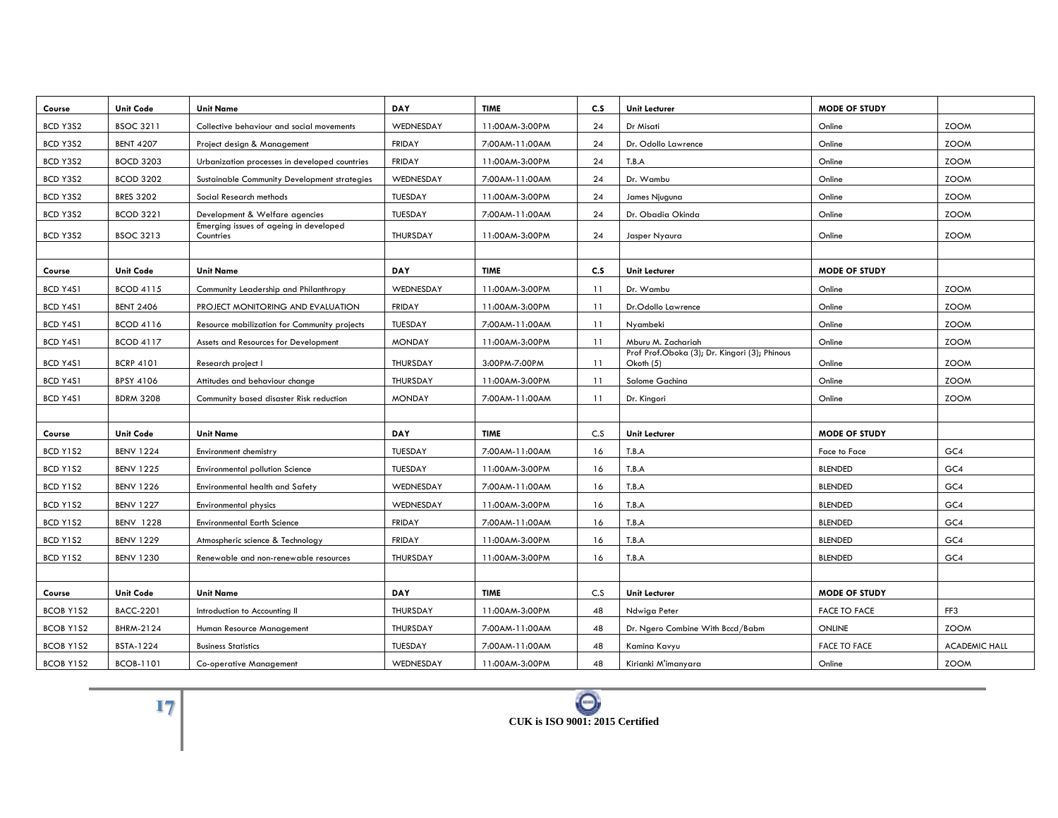| Course           | Unit Code        | <b>Unit Name</b>                                    | <b>DAY</b>    | <b>TIME</b>    | C.S | <b>Unit Lecturer</b>                                       | <b>MODE OF STUDY</b> |                      |
|------------------|------------------|-----------------------------------------------------|---------------|----------------|-----|------------------------------------------------------------|----------------------|----------------------|
| BCD Y3S2         | <b>BSOC 3211</b> | Collective behaviour and social movements           | WEDNESDAY     | 11:00AM-3:00PM | 24  | Dr Misati                                                  | Online               | <b>ZOOM</b>          |
| BCD Y3S2         | <b>BENT 4207</b> | Project design & Management                         | <b>FRIDAY</b> | 7:00AM-11:00AM | 24  | Dr. Odollo Lawrence                                        | Online               | <b>ZOOM</b>          |
| BCD Y3S2         | <b>BOCD 3203</b> | Urbanization processes in developed countries       | <b>FRIDAY</b> | 11:00AM-3:00PM | 24  | T.B.A                                                      | Online               | <b>ZOOM</b>          |
| BCD Y3S2         | <b>BCOD 3202</b> | Sustainable Community Development strategies        | WEDNESDAY     | 7:00AM-11:00AM | 24  | Dr. Wambu                                                  | Online               | <b>ZOOM</b>          |
| BCD Y3S2         | <b>BRES 3202</b> | Social Research methods                             | TUESDAY       | 11:00AM-3:00PM | 24  | James Njuguna                                              | Online               | <b>ZOOM</b>          |
| BCD Y3S2         | <b>BCOD 3221</b> | Development & Welfare agencies                      | TUESDAY       | 7:00AM-11:00AM | 24  | Dr. Obadia Okinda                                          | Online               | <b>ZOOM</b>          |
| BCD Y3S2         | <b>BSOC 3213</b> | Emerging issues of ageing in developed<br>Countries | THURSDAY      | 11:00AM-3:00PM | 24  | Jasper Nyaura                                              | Online               | <b>ZOOM</b>          |
|                  |                  |                                                     |               |                |     |                                                            |                      |                      |
| Course           | <b>Unit Code</b> | <b>Unit Name</b>                                    | DAY           | <b>TIME</b>    | C.S | <b>Unit Lecturer</b>                                       | <b>MODE OF STUDY</b> |                      |
| BCD Y4S1         | <b>BCOD 4115</b> | Community Leadership and Philanthropy               | WEDNESDAY     | 11:00AM-3:00PM | 11  | Dr. Wambu                                                  | Online               | <b>ZOOM</b>          |
| BCD Y4S1         | <b>BENT 2406</b> | PROJECT MONITORING AND EVALUATION                   | <b>FRIDAY</b> | 11:00AM-3:00PM | 11  | Dr.Odollo Lawrence                                         | Online               | <b>ZOOM</b>          |
| BCD Y4S1         | <b>BCOD 4116</b> | Resource mobilization for Community projects        | TUESDAY       | 7:00AM-11:00AM | 11  | Nyambeki                                                   | Online               | <b>ZOOM</b>          |
| BCD Y4S1         | <b>BCOD 4117</b> | Assets and Resources for Development                | <b>MONDAY</b> | 11:00AM-3:00PM | 11  | Mburu M. Zachariah                                         | Online               | <b>ZOOM</b>          |
| BCD Y4S1         | <b>BCRP 4101</b> | Research project I                                  | THURSDAY      | 3:00PM-7:00PM  | 11  | Prof Prof.Oboka (3); Dr. Kingori (3); Phinous<br>Okoth (5) | Online               | <b>ZOOM</b>          |
| BCD Y4S1         | <b>BPSY 4106</b> | Attitudes and behaviour change                      | THURSDAY      | 11:00AM-3:00PM | 11  | Salome Gachina                                             | Online               | <b>ZOOM</b>          |
| BCD Y4S1         | <b>BDRM 3208</b> | Community based disaster Risk reduction             | <b>MONDAY</b> | 7:00AM-11:00AM | 11  | Dr. Kingori                                                | Online               | <b>ZOOM</b>          |
|                  |                  |                                                     |               |                |     |                                                            |                      |                      |
| Course           | <b>Unit Code</b> | <b>Unit Name</b>                                    | <b>DAY</b>    | <b>TIME</b>    | C.S | <b>Unit Lecturer</b>                                       | <b>MODE OF STUDY</b> |                      |
| BCD Y1S2         | <b>BENV 1224</b> | Environment chemistry                               | TUESDAY       | 7:00AM-11:00AM | 16  | T.B.A                                                      | Face to Face         | GC4                  |
| BCD Y1S2         | <b>BENV 1225</b> | <b>Environmental pollution Science</b>              | TUESDAY       | 11:00AM-3:00PM | 16  | T.B.A                                                      | <b>BLENDED</b>       | GC4                  |
| BCD Y1S2         | <b>BENV 1226</b> | <b>Environmental health and Safety</b>              | WEDNESDAY     | 7:00AM-11:00AM | 16  | T.B.A                                                      | <b>BLENDED</b>       | GC4                  |
| BCD Y1S2         | <b>BENV 1227</b> | Environmental physics                               | WEDNESDAY     | 11:00AM-3:00PM | 16  | T.B.A                                                      | <b>BLENDED</b>       | GC4                  |
| BCD Y1S2         | <b>BENV 1228</b> | <b>Environmental Earth Science</b>                  | <b>FRIDAY</b> | 7:00AM-11:00AM | 16  | T.B.A                                                      | <b>BLENDED</b>       | GC4                  |
| BCD Y1S2         | <b>BENV 1229</b> | Atmospheric science & Technology                    | <b>FRIDAY</b> | 11:00AM-3:00PM | 16  | T.B.A                                                      | <b>BLENDED</b>       | GC4                  |
| BCD Y1S2         | <b>BENV 1230</b> | Renewable and non-renewable resources               | THURSDAY      | 11:00AM-3:00PM | 16  | T.B.A                                                      | <b>BLENDED</b>       | GC4                  |
|                  |                  |                                                     |               |                |     |                                                            |                      |                      |
| Course           | <b>Unit Code</b> | <b>Unit Name</b>                                    | <b>DAY</b>    | <b>TIME</b>    | C.S | <b>Unit Lecturer</b>                                       | <b>MODE OF STUDY</b> |                      |
| <b>BCOB Y1S2</b> | <b>BACC-2201</b> | Introduction to Accounting II                       | THURSDAY      | 11:00AM-3:00PM | 48  | Ndwiga Peter                                               | <b>FACE TO FACE</b>  | FF3                  |
| BCOB Y1S2        | BHRM-2124        | Human Resource Management                           | THURSDAY      | 7:00AM-11:00AM | 48  | Dr. Ngero Combine With Bccd/Babm                           | ONLINE               | <b>ZOOM</b>          |
| <b>BCOB Y1S2</b> | <b>BSTA-1224</b> | <b>Business Statistics</b>                          | TUESDAY       | 7:00AM-11:00AM | 48  | Kamina Kavyu                                               | <b>FACE TO FACE</b>  | <b>ACADEMIC HALL</b> |
| <b>BCOB Y1S2</b> | <b>BCOB-1101</b> | Co-operative Management                             | WEDNESDAY     | 11:00AM-3:00PM | 48  | Kirianki M'imanyara                                        | Online               | <b>ZOOM</b>          |

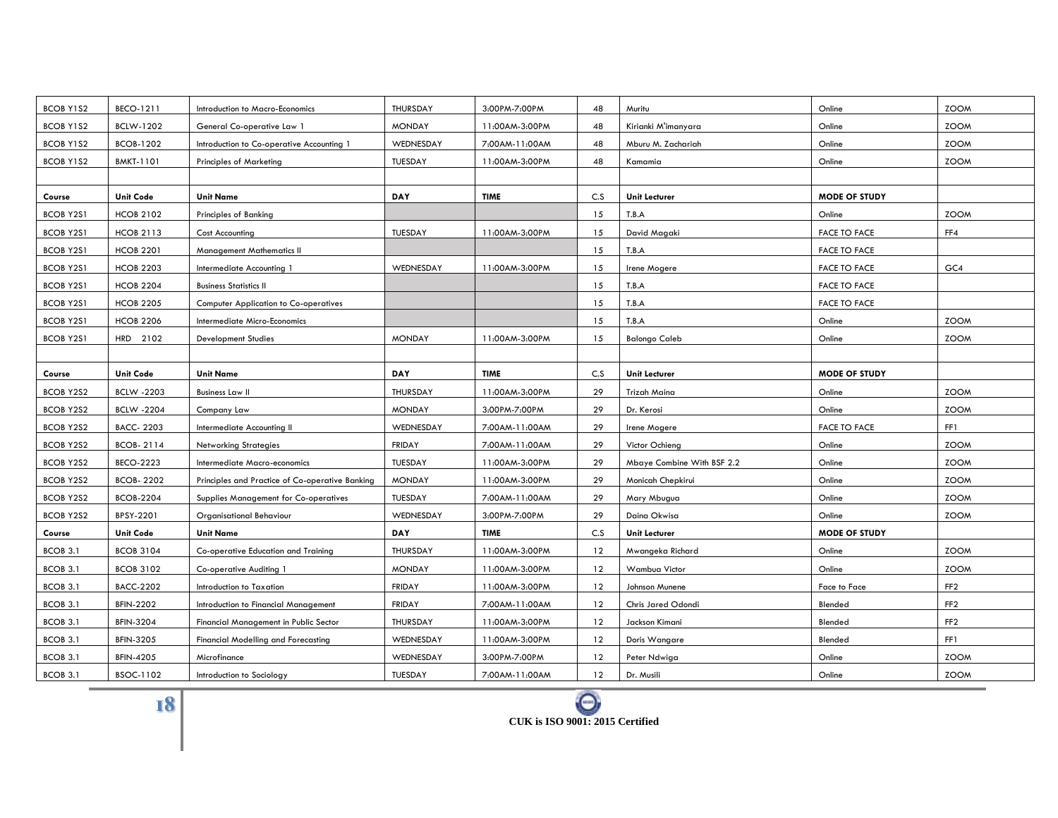| BCOB Y1S2        | BECO-1211         | Introduction to Macro-Economics                 | THURSDAY      | 3:00PM-7:00PM  | 48  | Muritu                     | Online               | <b>ZOOM</b>     |
|------------------|-------------------|-------------------------------------------------|---------------|----------------|-----|----------------------------|----------------------|-----------------|
| BCOB Y1S2        | BCLW-1202         | General Co-operative Law 1                      | <b>MONDAY</b> | 11:00AM-3:00PM | 48  | Kirianki M'imanyara        | Online               | <b>ZOOM</b>     |
| BCOB Y1S2        | <b>BCOB-1202</b>  | Introduction to Co-operative Accounting 1       | WEDNESDAY     | 7:00AM-11:00AM | 48  | Mburu M. Zachariah         | Online               | <b>ZOOM</b>     |
| BCOB Y1S2        | <b>BMKT-1101</b>  | <b>Principles of Marketing</b>                  | TUESDAY       | 11:00AM-3:00PM | 48  | Kamamia                    | Online               | <b>ZOOM</b>     |
|                  |                   |                                                 |               |                |     |                            |                      |                 |
| Course           | <b>Unit Code</b>  | <b>Unit Name</b>                                | DAY           | <b>TIME</b>    | C.S | <b>Unit Lecturer</b>       | <b>MODE OF STUDY</b> |                 |
| <b>BCOB Y2S1</b> | <b>HCOB 2102</b>  | Principles of Banking                           |               |                | 15  | T.B.A                      | Online               | <b>ZOOM</b>     |
| <b>BCOB Y2S1</b> | <b>HCOB 2113</b>  | Cost Accounting                                 | TUESDAY       | 11:00AM-3:00PM | 15  | David Magaki               | <b>FACE TO FACE</b>  | FF4             |
| <b>BCOB Y2S1</b> | <b>HCOB 2201</b>  | Management Mathematics II                       |               |                | 15  | T.B.A                      | <b>FACE TO FACE</b>  |                 |
| <b>BCOB Y2S1</b> | <b>HCOB 2203</b>  | Intermediate Accounting 1                       | WEDNESDAY     | 11:00AM-3:00PM | 15  | Irene Mogere               | <b>FACE TO FACE</b>  | GC4             |
| <b>BCOB Y2S1</b> | <b>HCOB 2204</b>  | <b>Business Statistics II</b>                   |               |                | 15  | T.B.A                      | <b>FACE TO FACE</b>  |                 |
| <b>BCOB Y2S1</b> | <b>HCOB 2205</b>  | <b>Computer Application to Co-operatives</b>    |               |                | 15  | T.B.A                      | <b>FACE TO FACE</b>  |                 |
| <b>BCOB Y2S1</b> | <b>HCOB 2206</b>  | Intermediate Micro-Economics                    |               |                | 15  | T.B.A                      | Online               | <b>ZOOM</b>     |
| <b>BCOB Y2S1</b> | HRD 2102          | <b>Development Studies</b>                      | <b>MONDAY</b> | 11:00AM-3:00PM | 15  | <b>Balongo Caleb</b>       | Online               | <b>ZOOM</b>     |
|                  |                   |                                                 |               |                |     |                            |                      |                 |
| Course           | <b>Unit Code</b>  | <b>Unit Name</b>                                | <b>DAY</b>    | <b>TIME</b>    | C.S | <b>Unit Lecturer</b>       | <b>MODE OF STUDY</b> |                 |
| <b>BCOB Y2S2</b> | <b>BCLW -2203</b> | <b>Business Law II</b>                          | THURSDAY      | 11:00AM-3:00PM | 29  | Trizah Maina               | Online               | <b>ZOOM</b>     |
| <b>BCOB Y2S2</b> | <b>BCLW -2204</b> | Company Law                                     | <b>MONDAY</b> | 3:00PM-7:00PM  | 29  | Dr. Kerosi                 | Online               | <b>ZOOM</b>     |
| <b>BCOB Y2S2</b> | <b>BACC-2203</b>  | Intermediate Accounting II                      | WEDNESDAY     | 7:00AM-11:00AM | 29  | Irene Mogere               | <b>FACE TO FACE</b>  | FF1             |
| <b>BCOB Y2S2</b> | <b>BCOB-2114</b>  | <b>Networking Strategies</b>                    | <b>FRIDAY</b> | 7:00AM-11:00AM | 29  | Victor Ochieng             | Online               | <b>ZOOM</b>     |
| <b>BCOB Y2S2</b> | <b>BECO-2223</b>  | Intermediate Macro-economics                    | TUESDAY       | 11:00AM-3:00PM | 29  | Mbaye Combine With BSF 2.2 | Online               | <b>ZOOM</b>     |
| <b>BCOB Y2S2</b> | <b>BCOB-2202</b>  | Principles and Practice of Co-operative Banking | <b>MONDAY</b> | 11:00AM-3:00PM | 29  | Monicah Chepkirui          | Online               | <b>ZOOM</b>     |
| <b>BCOB Y2S2</b> | <b>BCOB-2204</b>  | Supplies Management for Co-operatives           | TUESDAY       | 7:00AM-11:00AM | 29  | Mary Mbugua                | Online               | <b>ZOOM</b>     |
| <b>BCOB Y2S2</b> | BPSY-2201         | Organisational Behaviour                        | WEDNESDAY     | 3:00PM-7:00PM  | 29  | Daina Okwisa               | Online               | <b>ZOOM</b>     |
| Course           | <b>Unit Code</b>  | <b>Unit Name</b>                                | <b>DAY</b>    | <b>TIME</b>    | C.S | <b>Unit Lecturer</b>       | <b>MODE OF STUDY</b> |                 |
| <b>BCOB 3.1</b>  | <b>BCOB 3104</b>  | Co-operative Education and Training             | THURSDAY      | 11:00AM-3:00PM | 12  | Mwangeka Richard           | Online               | <b>ZOOM</b>     |
| BCOB 3.1         | <b>BCOB 3102</b>  | Co-operative Auditing 1                         | <b>MONDAY</b> | 11:00AM-3:00PM | 12  | Wambua Victor              | Online               | <b>ZOOM</b>     |
| BCOB 3.1         | <b>BACC-2202</b>  | Introduction to Taxation                        | <b>FRIDAY</b> | 11:00AM-3:00PM | 12  | Johnson Munene             | <b>Face to Face</b>  | FF <sub>2</sub> |
| BCOB 3.1         | <b>BFIN-2202</b>  | Introduction to Financial Management            | <b>FRIDAY</b> | 7:00AM-11:00AM | 12  | Chris Jared Odondi         | Blended              | FF <sub>2</sub> |
| BCOB 3.1         | <b>BFIN-3204</b>  | Financial Management in Public Sector           | THURSDAY      | 11:00AM-3:00PM | 12  | Jackson Kimani             | Blended              | FF <sub>2</sub> |
| <b>BCOB 3.1</b>  | <b>BFIN-3205</b>  | Financial Modelling and Forecasting             | WEDNESDAY     | 11:00AM-3:00PM | 12  | Doris Wangare              | Blended              | FF1             |
| BCOB 3.1         | <b>BFIN-4205</b>  | Microfinance                                    | WEDNESDAY     | 3:00PM-7:00PM  | 12  | Peter Ndwiga               | Online               | <b>ZOOM</b>     |
| BCOB 3.1         | BSOC-1102         | Introduction to Sociology                       | TUESDAY       | 7:00AM-11:00AM | 12  | Dr. Musili                 | Online               | <b>ZOOM</b>     |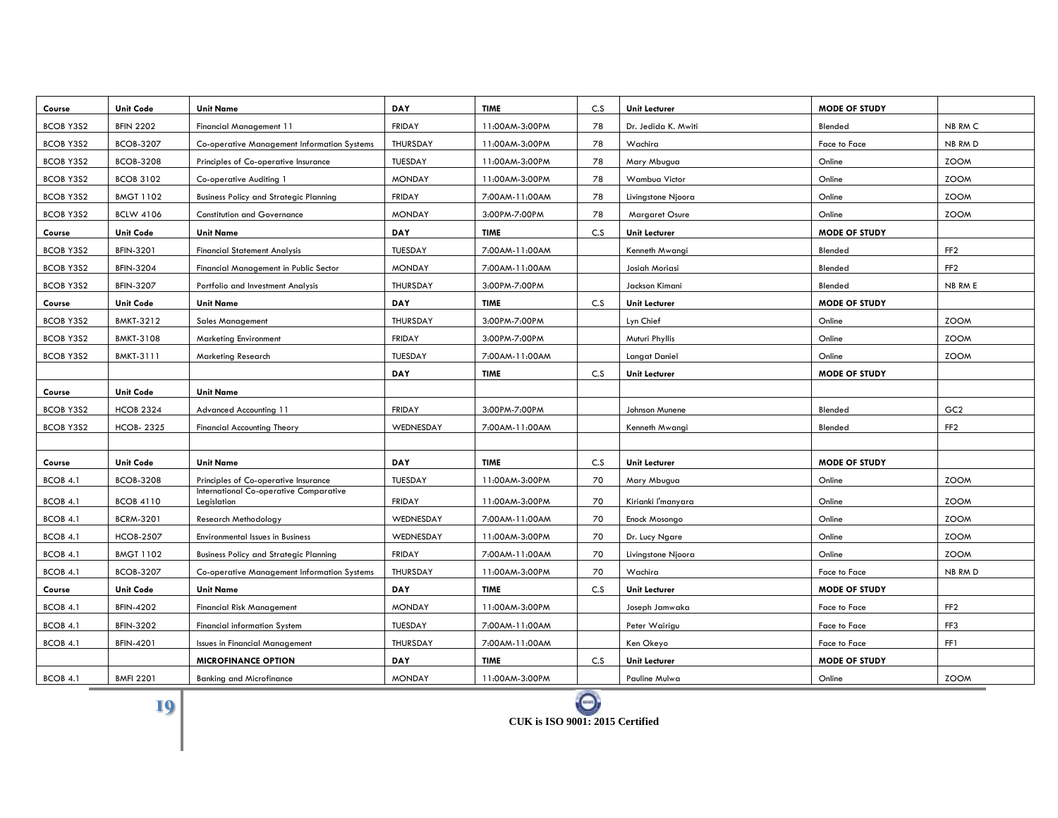| Course           | <b>Unit Code</b> | <b>Unit Name</b>                                      | <b>DAY</b>    | <b>TIME</b>    | C.S | <b>Unit Lecturer</b>  | <b>MODE OF STUDY</b> |                 |
|------------------|------------------|-------------------------------------------------------|---------------|----------------|-----|-----------------------|----------------------|-----------------|
| <b>BCOB Y3S2</b> | <b>BFIN 2202</b> | <b>Financial Management 11</b>                        | <b>FRIDAY</b> | 11:00AM-3:00PM | 78  | Dr. Jedida K. Mwiti   | Blended              | NB RM C         |
| BCOB Y3S2        | <b>BCOB-3207</b> | Co-operative Management Information Systems           | THURSDAY      | 11:00AM-3:00PM | 78  | Wachira               | Face to Face         | NB RM D         |
| <b>BCOB Y3S2</b> | <b>BCOB-3208</b> | Principles of Co-operative Insurance                  | TUESDAY       | 11:00AM-3:00PM | 78  | Mary Mbugua           | Online               | <b>ZOOM</b>     |
| BCOB Y3S2        | <b>BCOB 3102</b> | Co-operative Auditing 1                               | <b>MONDAY</b> | 11:00AM-3:00PM | 78  | Wambua Victor         | Online               | <b>ZOOM</b>     |
| <b>BCOB Y3S2</b> | <b>BMGT 1102</b> | <b>Business Policy and Strategic Planning</b>         | <b>FRIDAY</b> | 7:00AM-11:00AM | 78  | Livingstone Njoora    | Online               | <b>ZOOM</b>     |
| BCOB Y3S2        | <b>BCLW 4106</b> | <b>Constitution and Governance</b>                    | <b>MONDAY</b> | 3:00PM-7:00PM  | 78  | <b>Margaret Osure</b> | Online               | <b>ZOOM</b>     |
| Course           | <b>Unit Code</b> | <b>Unit Name</b>                                      | DAY           | <b>TIME</b>    | C.S | <b>Unit Lecturer</b>  | <b>MODE OF STUDY</b> |                 |
| <b>BCOB Y3S2</b> | <b>BFIN-3201</b> | <b>Financial Statement Analysis</b>                   | TUESDAY       | 7:00AM-11:00AM |     | Kenneth Mwangi        | Blended              | FF <sub>2</sub> |
| <b>BCOB Y3S2</b> | <b>BFIN-3204</b> | Financial Management in Public Sector                 | <b>MONDAY</b> | 7:00AM-11:00AM |     | Josiah Moriasi        | Blended              | FF <sub>2</sub> |
| <b>BCOB Y3S2</b> | <b>BFIN-3207</b> | Portfolio and Investment Analysis                     | THURSDAY      | 3:00PM-7:00PM  |     | Jackson Kimani        | Blended              | NB RM E         |
| Course           | <b>Unit Code</b> | <b>Unit Name</b>                                      | DAY           | <b>TIME</b>    | C.S | <b>Unit Lecturer</b>  | <b>MODE OF STUDY</b> |                 |
| <b>BCOB Y3S2</b> | <b>BMKT-3212</b> | <b>Sales Management</b>                               | THURSDAY      | 3:00PM-7:00PM  |     | Lyn Chief             | Online               | <b>ZOOM</b>     |
| BCOB Y3S2        | <b>BMKT-3108</b> | <b>Marketing Environment</b>                          | <b>FRIDAY</b> | 3:00PM-7:00PM  |     | Muturi Phyllis        | Online               | <b>ZOOM</b>     |
| <b>BCOB Y3S2</b> | BMKT-3111        | <b>Marketing Research</b>                             | TUESDAY       | 7:00AM-11:00AM |     | Langat Daniel         | Online               | <b>ZOOM</b>     |
|                  |                  |                                                       | <b>DAY</b>    | <b>TIME</b>    | C.S | <b>Unit Lecturer</b>  | <b>MODE OF STUDY</b> |                 |
| Course           | <b>Unit Code</b> | <b>Unit Name</b>                                      |               |                |     |                       |                      |                 |
| <b>BCOB Y3S2</b> | <b>HCOB 2324</b> | <b>Advanced Accounting 11</b>                         | <b>FRIDAY</b> | 3:00PM-7:00PM  |     | Johnson Munene        | Blended              | GC <sub>2</sub> |
| <b>BCOB Y3S2</b> | <b>HCOB-2325</b> | <b>Financial Accounting Theory</b>                    | WEDNESDAY     | 7:00AM-11:00AM |     | Kenneth Mwangi        | Blended              | FF <sub>2</sub> |
|                  |                  |                                                       |               |                |     |                       |                      |                 |
| Course           | <b>Unit Code</b> | <b>Unit Name</b>                                      | DAY           | <b>TIME</b>    | C.S | <b>Unit Lecturer</b>  | <b>MODE OF STUDY</b> |                 |
| BCOB 4.1         | <b>BCOB-3208</b> | Principles of Co-operative Insurance                  | TUESDAY       | 11:00AM-3:00PM | 70  | Mary Mbugua           | Online               | <b>ZOOM</b>     |
| BCOB 4.1         | <b>BCOB 4110</b> | International Co-operative Comparative<br>Legislation | <b>FRIDAY</b> | 11:00AM-3:00PM | 70  | Kirianki l'manyara    | Online               | <b>ZOOM</b>     |
| BCOB 4.1         | <b>BCRM-3201</b> | <b>Research Methodology</b>                           | WEDNESDAY     | 7:00AM-11:00AM | 70  | Enock Mosongo         | Online               | <b>ZOOM</b>     |
| BCOB 4.1         | <b>HCOB-2507</b> | <b>Environmental Issues in Business</b>               | WEDNESDAY     | 11:00AM-3:00PM | 70  | Dr. Lucy Ngare        | Online               | <b>ZOOM</b>     |
| BCOB 4.1         | <b>BMGT 1102</b> | <b>Business Policy and Strategic Planning</b>         | <b>FRIDAY</b> | 7:00AM-11:00AM | 70  | Livingstone Njoora    | Online               | <b>ZOOM</b>     |
| BCOB 4.1         | <b>BCOB-3207</b> | Co-operative Management Information Systems           | THURSDAY      | 11:00AM-3:00PM | 70  | Wachira               | <b>Face to Face</b>  | NB RM D         |
| Course           | <b>Unit Code</b> | <b>Unit Name</b>                                      | <b>DAY</b>    | <b>TIME</b>    | C.S | <b>Unit Lecturer</b>  | <b>MODE OF STUDY</b> |                 |
| BCOB 4.1         | <b>BFIN-4202</b> | <b>Financial Risk Management</b>                      | <b>MONDAY</b> | 11:00AM-3:00PM |     | Joseph Jamwaka        | <b>Face to Face</b>  | FF <sub>2</sub> |
| BCOB 4.1         | <b>BFIN-3202</b> | <b>Financial information System</b>                   | TUESDAY       | 7:00AM-11:00AM |     | Peter Wairigu         | <b>Face to Face</b>  | FF3             |
| BCOB 4.1         | BFIN-4201        | <b>Issues in Financial Management</b>                 | THURSDAY      | 7:00AM-11:00AM |     | Ken Okeyo             | Face to Face         | FF1             |
|                  |                  | <b>MICROFINANCE OPTION</b>                            | <b>DAY</b>    | <b>TIME</b>    | C.S | <b>Unit Lecturer</b>  | MODE OF STUDY        |                 |
| BCOB 4.1         | <b>BMFI 2201</b> | <b>Banking and Microfinance</b>                       | <b>MONDAY</b> | 11:00AM-3:00PM |     | Pauline Mulwa         | Online               | <b>ZOOM</b>     |

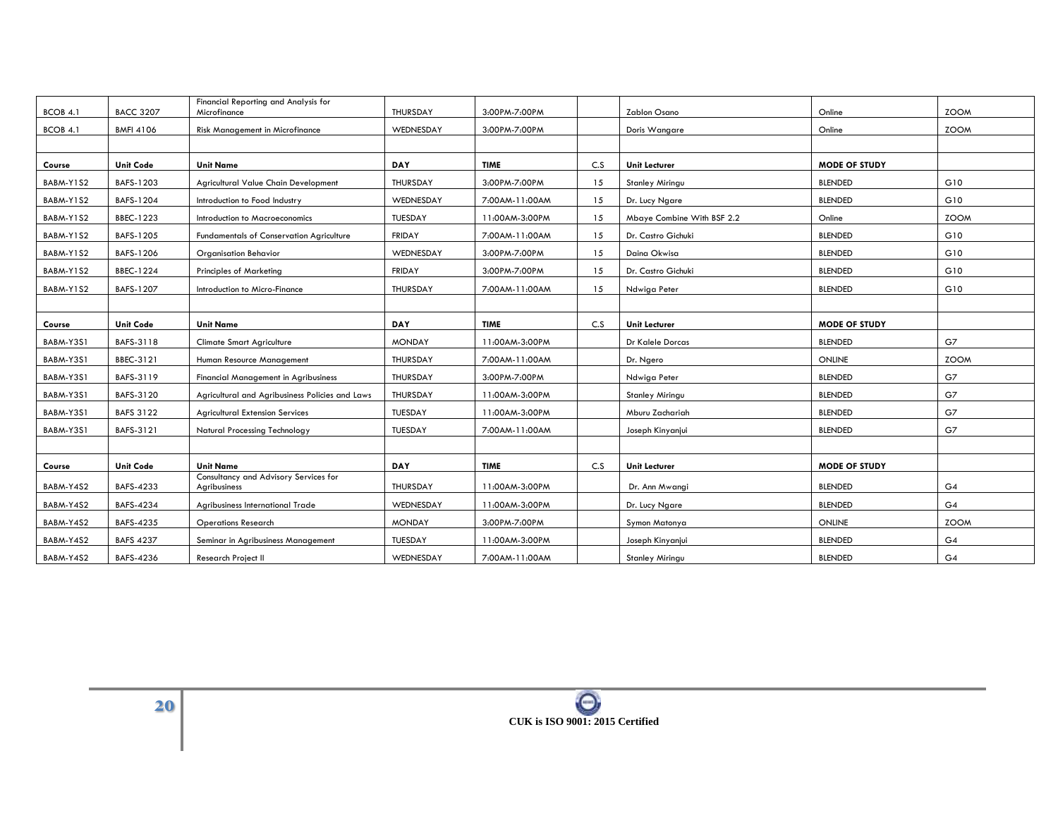| BCOB 4.1  | <b>BACC 3207</b> | Financial Reporting and Analysis for<br>Microfinance  | <b>THURSDAY</b> | 3:00PM-7:00PM  |     | Zablon Osano               | Online               | <b>ZOOM</b> |
|-----------|------------------|-------------------------------------------------------|-----------------|----------------|-----|----------------------------|----------------------|-------------|
| BCOB 4.1  | <b>BMFI 4106</b> | <b>Risk Management in Microfinance</b>                | WEDNESDAY       | 3:00PM-7:00PM  |     | Doris Wangare              | Online               | <b>ZOOM</b> |
|           |                  |                                                       |                 |                |     |                            |                      |             |
| Course    | <b>Unit Code</b> | <b>Unit Name</b>                                      | DAY             | <b>TIME</b>    | C.S | <b>Unit Lecturer</b>       | <b>MODE OF STUDY</b> |             |
| BABM-Y1S2 | BAFS-1203        | Agricultural Value Chain Development                  | THURSDAY        | 3:00PM-7:00PM  | 15  | <b>Stanley Miringu</b>     | <b>BLENDED</b>       | G10         |
| BABM-Y1S2 | BAFS-1204        | Introduction to Food Industry                         | WEDNESDAY       | 7:00AM-11:00AM | 15  | Dr. Lucy Ngare             | <b>BLENDED</b>       | G10         |
| BABM-Y1S2 | BBEC-1223        | Introduction to Macroeconomics                        | TUESDAY         | 11:00AM-3:00PM | 15  | Mbaye Combine With BSF 2.2 | Online               | <b>ZOOM</b> |
| BABM-Y1S2 | BAFS-1205        | Fundamentals of Conservation Agriculture              | <b>FRIDAY</b>   | 7:00AM-11:00AM | 15  | Dr. Castro Gichuki         | <b>BLENDED</b>       | G10         |
| BABM-Y1S2 | BAFS-1206        | <b>Organisation Behavior</b>                          | WEDNESDAY       | 3:00PM-7:00PM  | 15  | Daina Okwisa               | <b>BLENDED</b>       | G10         |
| BABM-Y1S2 | BBEC-1224        | <b>Principles of Marketing</b>                        | <b>FRIDAY</b>   | 3:00PM-7:00PM  | 15  | Dr. Castro Gichuki         | <b>BLENDED</b>       | G10         |
| BABM-Y1S2 | BAFS-1207        | Introduction to Micro-Finance                         | THURSDAY        | 7:00AM-11:00AM | 15  | Ndwiga Peter               | <b>BLENDED</b>       | G10         |
|           |                  |                                                       |                 |                |     |                            |                      |             |
| Course    | <b>Unit Code</b> | <b>Unit Name</b>                                      | <b>DAY</b>      | <b>TIME</b>    | C.S | <b>Unit Lecturer</b>       | <b>MODE OF STUDY</b> |             |
| BABM-Y3S1 | BAFS-3118        | <b>Climate Smart Agriculture</b>                      | <b>MONDAY</b>   | 11:00AM-3:00PM |     | Dr Kalele Dorcas           | <b>BLENDED</b>       | G7          |
| BABM-Y3S1 | BBEC-3121        | Human Resource Management                             | THURSDAY        | 7:00AM-11:00AM |     | Dr. Ngero                  | ONLINE               | <b>ZOOM</b> |
| BABM-Y3S1 | BAFS-3119        | <b>Financial Management in Agribusiness</b>           | THURSDAY        | 3:00PM-7:00PM  |     | Ndwiga Peter               | <b>BLENDED</b>       | G7          |
| BABM-Y3S1 | BAFS-3120        | Agricultural and Agribusiness Policies and Laws       | THURSDAY        | 11:00AM-3:00PM |     | Stanley Miringu            | <b>BLENDED</b>       | G7          |
| BABM-Y3S1 | <b>BAFS 3122</b> | <b>Agricultural Extension Services</b>                | TUESDAY         | 11:00AM-3:00PM |     | Mburu Zachariah            | <b>BLENDED</b>       | G7          |
| BABM-Y3S1 | BAFS-3121        | <b>Natural Processing Technology</b>                  | TUESDAY         | 7:00AM-11:00AM |     | Joseph Kinyanjui           | <b>BLENDED</b>       | G7          |
|           |                  |                                                       |                 |                |     |                            |                      |             |
| Course    | <b>Unit Code</b> | <b>Unit Name</b>                                      | <b>DAY</b>      | <b>TIME</b>    | C.S | <b>Unit Lecturer</b>       | <b>MODE OF STUDY</b> |             |
| BABM-Y4S2 | BAFS-4233        | Consultancy and Advisory Services for<br>Agribusiness | THURSDAY        | 11:00AM-3:00PM |     | Dr. Ann Mwangi             | <b>BLENDED</b>       | G4          |
| BABM-Y4S2 | BAFS-4234        | Agribusiness International Trade                      | WEDNESDAY       | 11:00AM-3:00PM |     | Dr. Lucy Ngare             | <b>BLENDED</b>       | G4          |
| BABM-Y4S2 | BAFS-4235        | <b>Operations Research</b>                            | <b>MONDAY</b>   | 3:00PM-7:00PM  |     | Symon Matonya              | <b>ONLINE</b>        | <b>ZOOM</b> |
| BABM-Y4S2 | <b>BAFS 4237</b> | Seminar in Agribusiness Management                    | TUESDAY         | 11:00AM-3:00PM |     | Joseph Kinyanjui           | <b>BLENDED</b>       | G4          |
| BABM-Y4S2 | BAFS-4236        | Research Project II                                   | WEDNESDAY       | 7:00AM-11:00AM |     | Stanley Miringu            | <b>BLENDED</b>       | G4          |